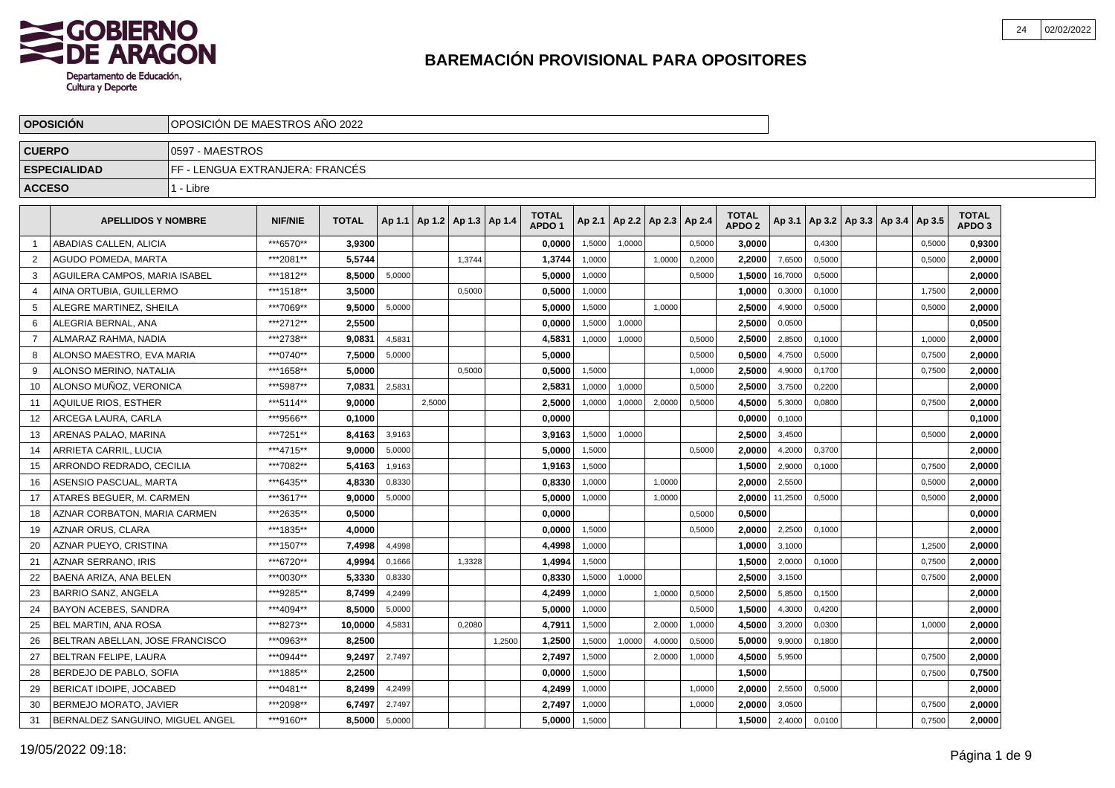

|                | <b>OPOSICION</b>                 | OPOSICION DE MAESTROS ANO 2022  |                |              |        |        |                       |        |                                   |        |        |                          |        |                                   |         |        |                                   |        |                                   |  |
|----------------|----------------------------------|---------------------------------|----------------|--------------|--------|--------|-----------------------|--------|-----------------------------------|--------|--------|--------------------------|--------|-----------------------------------|---------|--------|-----------------------------------|--------|-----------------------------------|--|
| <b>CUERPO</b>  |                                  | 0597 - MAESTROS                 |                |              |        |        |                       |        |                                   |        |        |                          |        |                                   |         |        |                                   |        |                                   |  |
|                | <b>ESPECIALIDAD</b>              | FF - LENGUA EXTRANJERA: FRANCÉS |                |              |        |        |                       |        |                                   |        |        |                          |        |                                   |         |        |                                   |        |                                   |  |
| <b>ACCESO</b>  |                                  | 1 - Libre                       |                |              |        |        |                       |        |                                   |        |        |                          |        |                                   |         |        |                                   |        |                                   |  |
|                | <b>APELLIDOS Y NOMBRE</b>        |                                 | <b>NIF/NIE</b> | <b>TOTAL</b> | Ap 1.1 |        | Ap1.2   Ap1.3   Ap1.4 |        | <b>TOTAL</b><br>APDO <sub>1</sub> | Ap 2.1 |        | Ap 2.2   Ap 2.3   Ap 2.4 |        | <b>TOTAL</b><br>APDO <sub>2</sub> | Ap 3.1  |        | Ap 3.2   Ap 3.3   Ap 3.4   Ap 3.5 |        | <b>TOTAL</b><br>APDO <sub>3</sub> |  |
| -1             | ABADIAS CALLEN, ALICIA           |                                 | ***6570**      | 3,9300       |        |        |                       |        | 0,0000                            | 1,5000 | 1,0000 |                          | 0,5000 | 3,0000                            |         | 0,4300 |                                   | 0,5000 | 0,9300                            |  |
| $\overline{2}$ | AGUDO POMEDA, MARTA              |                                 | ***2081**      | 5.5744       |        |        | 1,3744                |        | 1,3744                            | 1,0000 |        | 1.0000                   | 0,2000 | 2.2000                            | 7,6500  | 0,5000 |                                   | 0,5000 | 2.0000                            |  |
| 3              | AGUILERA CAMPOS, MARIA ISABEL    |                                 | ***1812**      | 8,5000       | 5,0000 |        |                       |        | 5,0000                            | 1,0000 |        |                          | 0,5000 | 1,5000                            | 16,7000 | 0,5000 |                                   |        | 2,0000                            |  |
| 4              | AINA ORTUBIA, GUILLERMO          |                                 | ***1518**      | 3,5000       |        |        | 0,5000                |        | 0,5000                            | 1,0000 |        |                          |        | 1,0000                            | 0,3000  | 0,1000 |                                   | 1,7500 | 2,0000                            |  |
| -5             | ALEGRE MARTINEZ, SHEILA          |                                 | ***7069**      | 9,5000       | 5,0000 |        |                       |        | 5,0000                            | 1,5000 |        | 1,0000                   |        | 2,5000                            | 4,9000  | 0,5000 |                                   | 0,5000 | 2,0000                            |  |
| -6             | ALEGRIA BERNAL, ANA              |                                 | ***2712**      | 2.5500       |        |        |                       |        | 0.0000                            | 1,5000 | 1,0000 |                          |        | 2.5000                            | 0,0500  |        |                                   |        | 0,0500                            |  |
| 7              | ALMARAZ RAHMA, NADIA             |                                 | ***2738**      | 9.0831       | 4,5831 |        |                       |        | 4,5831                            | 1,0000 | 1,0000 |                          | 0,5000 | 2.5000                            | 2,8500  | 0,1000 |                                   | 1,0000 | 2,0000                            |  |
| 8              | ALONSO MAESTRO, EVA MARIA        |                                 | ***0740**      | 7,5000       | 5,0000 |        |                       |        | 5,0000                            |        |        |                          | 0,5000 | 0,5000                            | 4,7500  | 0,5000 |                                   | 0,7500 | 2,0000                            |  |
| 9              | ALONSO MERINO, NATALIA           |                                 | ***1658**      | 5,0000       |        |        | 0,5000                |        | 0,5000                            | 1,5000 |        |                          | 1,0000 | 2,5000                            | 4,9000  | 0,1700 |                                   | 0,7500 | 2,0000                            |  |
| 10             | ALONSO MUÑOZ. VERONICA           |                                 | ***5987**      | 7.0831       | 2,5831 |        |                       |        | 2.5831                            | 1,0000 | 1,0000 |                          | 0,5000 | 2.5000                            | 3,7500  | 0,2200 |                                   |        | 2,0000                            |  |
| 11             | AQUILUE RIOS. ESTHER             |                                 | ***5114**      | 9,0000       |        | 2,5000 |                       |        | 2,5000                            | 1,0000 | 1,0000 | 2,0000                   | 0,5000 | 4,5000                            | 5,3000  | 0,0800 |                                   | 0,7500 | 2,0000                            |  |
| 12             | ARCEGA LAURA, CARLA              |                                 | ***9566**      | 0,1000       |        |        |                       |        | 0,0000                            |        |        |                          |        | 0,0000                            | 0,1000  |        |                                   |        | 0,1000                            |  |
| 13             | ARENAS PALAO, MARINA             |                                 | ***7251**      | 8,4163       | 3,9163 |        |                       |        | 3,9163                            | 1,5000 | 1,0000 |                          |        | 2,5000                            | 3,4500  |        |                                   | 0,5000 | 2,0000                            |  |
| 14             | ARRIETA CARRIL. LUCIA            |                                 | ***4715**      | 9.0000       | 5,0000 |        |                       |        | 5.0000                            | 1.5000 |        |                          | 0.5000 | 2.0000                            | 4,2000  | 0,3700 |                                   |        | 2,0000                            |  |
| 15             | ARRONDO REDRADO, CECILIA         |                                 | ***7082**      | 5,4163       | 1,9163 |        |                       |        | 1,9163                            | 1,5000 |        |                          |        | 1,5000                            | 2,9000  | 0,1000 |                                   | 0,7500 | 2,0000                            |  |
| 16             | <b>ASENSIO PASCUAL, MARTA</b>    |                                 | ***6435**      | 4,8330       | 0,8330 |        |                       |        | 0,8330                            | 1,0000 |        | 1,0000                   |        | 2,0000                            | 2,5500  |        |                                   | 0,5000 | 2,0000                            |  |
| 17             | ATARES BEGUER, M. CARMEN         |                                 | ***3617**      | 9,0000       | 5,0000 |        |                       |        | 5,0000                            | 1,0000 |        | 1,0000                   |        | 2,0000                            | 11,2500 | 0,5000 |                                   | 0,5000 | 2,0000                            |  |
| 18             | AZNAR CORBATON, MARIA CARMEN     |                                 | ***2635**      | 0.5000       |        |        |                       |        | 0.0000                            |        |        |                          | 0,5000 | 0.5000                            |         |        |                                   |        | 0,0000                            |  |
| 19             | <b>AZNAR ORUS, CLARA</b>         |                                 | ***1835**      | 4.0000       |        |        |                       |        | 0.0000                            | 1,5000 |        |                          | 0,5000 | 2.0000                            | 2,2500  | 0,1000 |                                   |        | 2,0000                            |  |
| 20             | AZNAR PUEYO, CRISTINA            |                                 | ***1507**      | 7,4998       | 4,4998 |        |                       |        | 4,4998                            | 1,0000 |        |                          |        | 1,0000                            | 3,1000  |        |                                   | 1,2500 | 2,0000                            |  |
| 21             | <b>AZNAR SERRANO. IRIS</b>       |                                 | ***6720**      | 4,9994       | 0,1666 |        | 1,3328                |        | 1,4994                            | 1,5000 |        |                          |        | 1,5000                            | 2,0000  | 0,1000 |                                   | 0,7500 | 2,0000                            |  |
| 22             | BAENA ARIZA. ANA BELEN           |                                 | ***0030**      | 5.3330       | 0,8330 |        |                       |        | 0.8330                            | 1.5000 | 1,0000 |                          |        | 2,5000                            | 3,1500  |        |                                   | 0,7500 | 2,0000                            |  |
| 23             | <b>BARRIO SANZ, ANGELA</b>       |                                 | ***9285**      | 8.7499       | 4,2499 |        |                       |        | 4,2499                            | 1,0000 |        | 1,0000                   | 0,5000 | 2,5000                            | 5,8500  | 0,1500 |                                   |        | 2.0000                            |  |
| 24             | <b>BAYON ACEBES, SANDRA</b>      |                                 | ***4094**      | 8,5000       | 5,0000 |        |                       |        | 5,0000                            | 1,0000 |        |                          | 0,5000 | 1,5000                            | 4,3000  | 0,4200 |                                   |        | 2,0000                            |  |
| 25             | <b>BEL MARTIN, ANA ROSA</b>      |                                 | ***8273**      | 10,0000      | 4,5831 |        | 0,2080                |        | 4,7911                            | 1,5000 |        | 2,0000                   | 1,0000 | 4,5000                            | 3,2000  | 0,0300 |                                   | 1,0000 | 2,0000                            |  |
| 26             | BELTRAN ABELLAN, JOSE FRANCISCO  |                                 | ***0963**      | 8,2500       |        |        |                       | 1.2500 | 1,2500                            | 1,5000 | 1.0000 | 4,0000                   | 0,5000 | 5,0000                            | 9,9000  | 0.1800 |                                   |        | 2,0000                            |  |
| 27             | BELTRAN FELIPE, LAURA            |                                 | ***0944**      | 9.2497       | 2,7497 |        |                       |        | 2,7497                            | 1,5000 |        | 2,0000                   | 1,0000 | 4,5000                            | 5,9500  |        |                                   | 0,7500 | 2,0000                            |  |
| 28             | BERDEJO DE PABLO, SOFIA          |                                 | ***1885**      | 2.2500       |        |        |                       |        | 0,0000                            | 1,5000 |        |                          |        | 1,5000                            |         |        |                                   | 0,7500 | 0,7500                            |  |
| 29             | <b>BERICAT IDOIPE, JOCABED</b>   |                                 | ***0481**      | 8,2499       | 4,2499 |        |                       |        | 4,2499                            | 1,0000 |        |                          | 1,0000 | 2,0000                            | 2,5500  | 0,5000 |                                   |        | 2,0000                            |  |
| 30             | BERMEJO MORATO, JAVIER           |                                 | ***2098**      | 6,7497       | 2,7497 |        |                       |        | 2,7497                            | 1,0000 |        |                          | 1,0000 | 2,0000                            | 3,0500  |        |                                   | 0,7500 | 2,0000                            |  |
| 31             | BERNALDEZ SANGUINO, MIGUEL ANGEL |                                 | ***9160**      | 8,5000       | 5,0000 |        |                       |        | 5.0000                            | 1,5000 |        |                          |        | 1.5000                            | 2,4000  | 0,0100 |                                   | 0,7500 | 2.0000                            |  |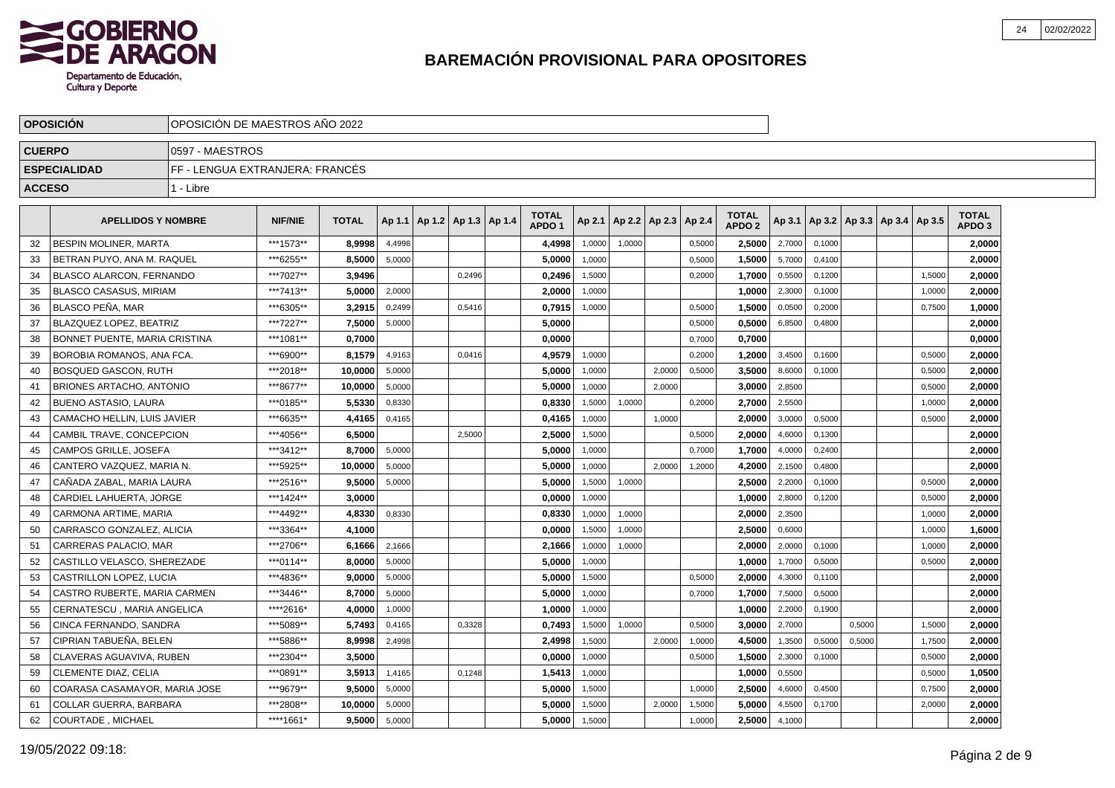

|               | <b>OPOSICION</b>                 | OPOSICION DE MAESTROS ANO 2022  |                |              |        |                       |        |                                   |        |                          |        |        |                                   |        |        |                                   |        |                                   |  |
|---------------|----------------------------------|---------------------------------|----------------|--------------|--------|-----------------------|--------|-----------------------------------|--------|--------------------------|--------|--------|-----------------------------------|--------|--------|-----------------------------------|--------|-----------------------------------|--|
| <b>CUERPO</b> |                                  | 0597 - MAESTROS                 |                |              |        |                       |        |                                   |        |                          |        |        |                                   |        |        |                                   |        |                                   |  |
|               | <b>ESPECIALIDAD</b>              | FF - LENGUA EXTRANJERA: FRANCÉS |                |              |        |                       |        |                                   |        |                          |        |        |                                   |        |        |                                   |        |                                   |  |
| <b>ACCESO</b> |                                  | 1 - Libre                       |                |              |        |                       |        |                                   |        |                          |        |        |                                   |        |        |                                   |        |                                   |  |
|               | <b>APELLIDOS Y NOMBRE</b>        |                                 | <b>NIF/NIE</b> | <b>TOTAL</b> | Ap 1.1 | Ap1.2   Ap1.3   Ap1.4 |        | <b>TOTAL</b><br>APDO <sub>1</sub> | Ap 2.1 | Ap 2.2   Ap 2.3   Ap 2.4 |        |        | <b>TOTAL</b><br>APDO <sub>2</sub> | Ap 3.1 |        | Ap 3.2   Ap 3.3   Ap 3.4   Ap 3.5 |        | <b>TOTAL</b><br>APDO <sub>3</sub> |  |
| 32            | <b>BESPIN MOLINER, MARTA</b>     |                                 | ***1573**      | 8,9998       | 4,4998 |                       |        | 4,4998                            | 1,0000 | 1,0000                   |        | 0,5000 | 2,5000                            | 2,7000 | 0,1000 |                                   |        | 2,0000                            |  |
| -33           | BETRAN PUYO, ANA M. RAQUEL       |                                 | ***6255**      | 8.5000       | 5,0000 |                       |        | 5.0000                            | 1.0000 |                          |        | 0,5000 | 1.5000                            | 5,7000 | 0.4100 |                                   |        | 2.0000                            |  |
| 34            | <b>BLASCO ALARCON, FERNANDO</b>  |                                 | ***7027**      | 3,9496       |        |                       | 0.2496 | 0,2496                            | 1,5000 |                          |        | 0,2000 | 1,7000                            | 0,5500 | 0.1200 |                                   | 1,5000 | 2,0000                            |  |
| 35            | <b>BLASCO CASASUS, MIRIAM</b>    |                                 | ***7413**      | 5.0000       | 2,0000 |                       |        | 2,0000                            | 1,0000 |                          |        |        | 1,0000                            | 2,3000 | 0.1000 |                                   | 1,0000 | 2,0000                            |  |
| 36            | <b>BLASCO PEÑA, MAR</b>          |                                 | ***6305**      | 3,2915       | 0,2499 |                       | 0,5416 | 0,7915                            | 1,0000 |                          |        | 0,5000 | 1,5000                            | 0,0500 | 0,2000 |                                   | 0,7500 | 1,0000                            |  |
| -37           | <b>BLAZQUEZ LOPEZ. BEATRIZ</b>   |                                 | ***7227**      | 7.5000       | 5,0000 |                       |        | 5.0000                            |        |                          |        | 0,5000 | 0.5000                            | 6,8500 | 0.4800 |                                   |        | 2,0000                            |  |
| 38            | BONNET PUENTE, MARIA CRISTINA    |                                 | ***1081**      | 0.7000       |        |                       |        | 0.0000                            |        |                          |        | 0,7000 | 0.7000                            |        |        |                                   |        | 0,0000                            |  |
| 39            | <b>BOROBIA ROMANOS, ANA FCA.</b> |                                 | ***6900**      | 8,1579       | 4,9163 |                       | 0,0416 | 4,9579                            | 1,0000 |                          |        | 0,2000 | 1,2000                            | 3,4500 | 0,1600 |                                   | 0,5000 | 2,0000                            |  |
| 40            | <b>BOSQUED GASCON, RUTH</b>      |                                 | ***2018**      | 10,0000      | 5,0000 |                       |        | 5,0000                            | 1,0000 |                          | 2,0000 | 0,5000 | 3,5000                            | 8,6000 | 0,1000 |                                   | 0,5000 | 2,0000                            |  |
| 41            | <b>BRIONES ARTACHO, ANTONIO</b>  |                                 | ***8677**      | 10.0000      | 5,0000 |                       |        | 5.0000                            | 1.0000 |                          | 2.0000 |        | 3.0000                            | 2,8500 |        |                                   | 0,5000 | 2,0000                            |  |
| 42            | <b>BUENO ASTASIO, LAURA</b>      |                                 | ***0185**      | 5,5330       | 0,8330 |                       |        | 0,8330                            | 1,5000 | 1,0000                   |        | 0,2000 | 2,7000                            | 2,5500 |        |                                   | 1,0000 | 2,0000                            |  |
| 43            | CAMACHO HELLIN, LUIS JAVIER      |                                 | ***6635**      | 4,4165       | 0,4165 |                       |        | 0,4165                            | 1,0000 |                          | 1,0000 |        | 2,0000                            | 3,0000 | 0,5000 |                                   | 0,5000 | 2,0000                            |  |
| 44            | CAMBIL TRAVE, CONCEPCION         |                                 | ***4056**      | 6,5000       |        |                       | 2,5000 | 2,5000                            | 1,5000 |                          |        | 0,5000 | 2,0000                            | 4,6000 | 0,1300 |                                   |        | 2,0000                            |  |
| 45            | <b>CAMPOS GRILLE, JOSEFA</b>     |                                 | ***3412**      | 8,7000       | 5,0000 |                       |        | 5.0000                            | 1.0000 |                          |        | 0,7000 | 1,7000                            | 4,0000 | 0,2400 |                                   |        | 2,0000                            |  |
| 46            | CANTERO VAZQUEZ, MARIA N.        |                                 | *** 5925**     | 10.0000      | 5,0000 |                       |        | 5.0000                            | 1,0000 |                          | 2,0000 | 1,2000 | 4,2000                            | 2,1500 | 0,4800 |                                   |        | 2,0000                            |  |
| 47            | CAÑADA ZABAL. MARIA LAURA        |                                 | ***2516**      | 9,5000       | 5,0000 |                       |        | 5,0000                            | 1,5000 | 1,0000                   |        |        | 2,5000                            | 2,2000 | 0,1000 |                                   | 0,5000 | 2,0000                            |  |
| 48            | CARDIEL LAHUERTA, JORGE          |                                 | ***1424**      | 3,0000       |        |                       |        | 0,0000                            | 1,0000 |                          |        |        | 1,0000                            | 2,8000 | 0,1200 |                                   | 0,5000 | 2,0000                            |  |
| 49            | CARMONA ARTIME, MARIA            |                                 | ***4492**      | 4.8330       | 0.8330 |                       |        | 0.8330                            | 1,0000 | 1,0000                   |        |        | 2.0000                            | 2,3500 |        |                                   | 1,0000 | 2.0000                            |  |
| 50            | CARRASCO GONZALEZ, ALICIA        |                                 | ***3364**      | 4.1000       |        |                       |        | 0.0000                            | 1,5000 | 1,0000                   |        |        | 2,5000                            | 0,6000 |        |                                   | 1,0000 | 1,6000                            |  |
| -51           | CARRERAS PALACIO, MAR            |                                 | ***2706**      | 6,1666       | 2,1666 |                       |        | 2,1666                            | 1,0000 | 1,0000                   |        |        | 2.0000                            | 2,0000 | 0,1000 |                                   | 1,0000 | 2,0000                            |  |
| 52            | CASTILLO VELASCO. SHEREZADE      |                                 | ***0114**      | 8,0000       | 5,0000 |                       |        | 5,0000                            | 1,0000 |                          |        |        | 1,0000                            | 1,7000 | 0,5000 |                                   | 0,5000 | 2,0000                            |  |
| 53            | <b>CASTRILLON LOPEZ. LUCIA</b>   |                                 | ***4836**      | 9.0000       | 5,0000 |                       |        | 5.0000                            | 1.5000 |                          |        | 0.5000 | 2.0000                            | 4,3000 | 0.1100 |                                   |        | 2,0000                            |  |
| 54            | CASTRO RUBERTE, MARIA CARMEN     |                                 | ***3446**      | 8.7000       | 5,0000 |                       |        | 5.0000                            | 1,0000 |                          |        | 0,7000 | 1,7000                            | 7,5000 | 0,5000 |                                   |        | 2.0000                            |  |
| 55            | CERNATESCU, MARIA ANGELICA       |                                 | *****2616*     | 4,0000       | 1,0000 |                       |        | 1,0000                            | 1,0000 |                          |        |        | 1,0000                            | 2,2000 | 0,1900 |                                   |        | 2.0000                            |  |
| 56            | CINCA FERNANDO, SANDRA           |                                 | ***5089**      | 5,7493       | 0,4165 |                       | 0,3328 | 0,7493                            | 1,5000 | 1,0000                   |        | 0,5000 | 3,0000                            | 2,7000 |        | 0,5000                            | 1,5000 | 2,0000                            |  |
| 57            | CIPRIAN TABUEÑA, BELEN           |                                 | ***5886**      | 8,9998       | 2.4998 |                       |        | 2,4998                            | 1.5000 |                          | 2.0000 | 1,0000 | 4,5000                            | 1,3500 | 0,5000 | 0.5000                            | 1,7500 | 2,0000                            |  |
| 58            | CLAVERAS AGUAVIVA, RUBEN         |                                 | ***2304**      | 3.5000       |        |                       |        | 0.0000                            | 1,0000 |                          |        | 0,5000 | 1,5000                            | 2,3000 | 0,1000 |                                   | 0,5000 | 2,0000                            |  |
| 59            | <b>CLEMENTE DIAZ, CELIA</b>      |                                 | ***0891**      | 3.5913       | 1,4165 |                       | 0,1248 | 1,5413                            | 1,0000 |                          |        |        | 1,0000                            | 0,5500 |        |                                   | 0,5000 | 1,0500                            |  |
| 60            | COARASA CASAMAYOR, MARIA JOSE    |                                 | ***9679**      | 9,5000       | 5,0000 |                       |        | 5,0000                            | 1,5000 |                          |        | 1,0000 | 2,5000                            | 4,6000 | 0,4500 |                                   | 0,7500 | 2,0000                            |  |
| 61            | COLLAR GUERRA, BARBARA           |                                 | ***2808**      | 10,0000      | 5,0000 |                       |        | 5,0000                            | 1,5000 |                          | 2,0000 | 1,5000 | 5,0000                            | 4,5500 | 0,1700 |                                   | 2,0000 | 2,0000                            |  |
| 62            | <b>COURTADE, MICHAEL</b>         |                                 | ****1661*      | 9.5000       | 5,0000 |                       |        | 5.0000                            | 1,5000 |                          |        | 1,0000 | 2,5000                            | 4,1000 |        |                                   |        | 2.0000                            |  |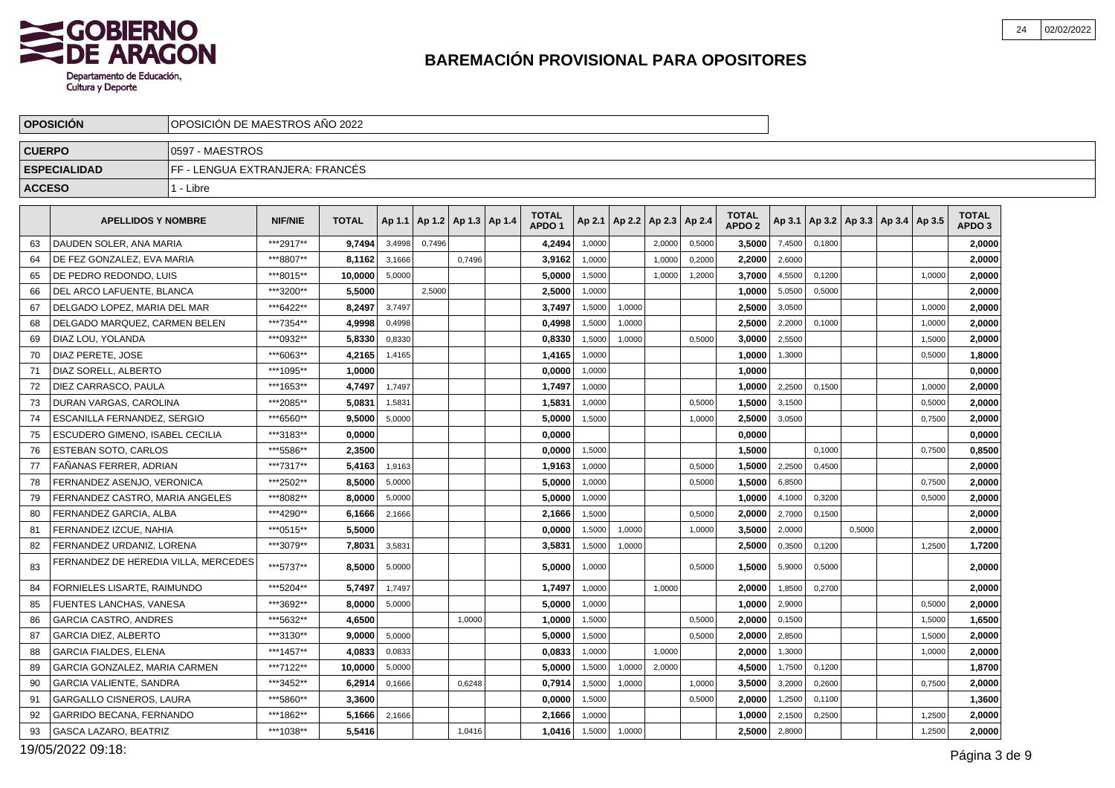

|               | <b>OPOSICION</b>                       | OPOSICION DE MAESTROS ANO 2022  |                |              |                  |                          |        |                                   |                  |                                   |                  |                  |                             |        |                                            |        |        |                   |  |
|---------------|----------------------------------------|---------------------------------|----------------|--------------|------------------|--------------------------|--------|-----------------------------------|------------------|-----------------------------------|------------------|------------------|-----------------------------|--------|--------------------------------------------|--------|--------|-------------------|--|
| <b>CUERPO</b> |                                        | 10597 - MAESTROS                |                |              |                  |                          |        |                                   |                  |                                   |                  |                  |                             |        |                                            |        |        |                   |  |
|               | <b>ESPECIALIDAD</b>                    | FF - LENGUA EXTRANJERA: FRANCÉS |                |              |                  |                          |        |                                   |                  |                                   |                  |                  |                             |        |                                            |        |        |                   |  |
| <b>ACCESO</b> |                                        | 1 - Libre                       |                |              |                  |                          |        |                                   |                  |                                   |                  |                  |                             |        |                                            |        |        |                   |  |
|               | <b>APELLIDOS Y NOMBRE</b>              |                                 | <b>NIF/NIE</b> | <b>TOTAL</b> | Ap 1.1           | Ap 1.2   Ap 1.3   Ap 1.4 |        | <b>TOTAL</b><br>APDO <sub>1</sub> |                  | Ap 2.1   Ap 2.2   Ap 2.3   Ap 2.4 |                  |                  | <b>TOTAL</b>                |        | Ap 3.1   Ap 3.2   Ap 3.3   Ap 3.4   Ap 3.5 |        |        | <b>TOTAL</b>      |  |
|               | DAUDEN SOLER. ANA MARIA                |                                 | ***2917**      | 9.7494       |                  | 0,7496                   |        |                                   |                  |                                   |                  |                  | APDO <sub>2</sub><br>3.5000 | 7,4500 |                                            |        |        | APDO <sub>3</sub> |  |
| 63            | DE FEZ GONZALEZ, EVA MARIA             |                                 | ***8807**      | 8,1162       | 3,4998<br>3,1666 |                          | 0,7496 | 4,2494                            | 1,0000<br>1,0000 |                                   | 2,0000<br>1,0000 | 0,5000<br>0,2000 | 2,2000                      | 2,6000 | 0,1800                                     |        |        | 2,0000<br>2,0000  |  |
| 64<br>65      | <b>IDE PEDRO REDONDO. LUIS</b>         |                                 | ***8015**      | 10,0000      | 5,0000           |                          |        | 3,9162<br>5,0000                  | 1,5000           |                                   | 1,0000           | 1,2000           | 3,7000                      | 4,5500 | 0,1200                                     |        | 1,0000 | 2,0000            |  |
| 66            | <b>IDEL ARCO LAFUENTE. BLANCA</b>      |                                 | ***3200**      | 5.5000       |                  | 2,5000                   |        | 2,5000                            | 1.0000           |                                   |                  |                  | 1.0000                      | 5,0500 | 0,5000                                     |        |        | 2,0000            |  |
| 67            | DELGADO LOPEZ, MARIA DEL MAR           |                                 | ***6422**      | 8,2497       | 3,7497           |                          |        | 3,7497                            | 1,5000           | 1,0000                            |                  |                  | 2,5000                      | 3,0500 |                                            |        | 1,0000 | 2,0000            |  |
| 68            | DELGADO MARQUEZ. CARMEN BELEN          |                                 | ***7354**      | 4,9998       | 0,4998           |                          |        | 0,4998                            | 1,5000           | 1,0000                            |                  |                  | 2.5000                      | 2,2000 | 0,1000                                     |        | 1,0000 | 2,0000            |  |
| 69            | DIAZ LOU. YOLANDA                      |                                 | ***0932**      | 5.8330       | 0,8330           |                          |        | 0.8330                            | 1,5000           | 1,0000                            |                  | 0.5000           | 3.0000                      | 2,5500 |                                            |        | 1.5000 | 2,0000            |  |
| 70            | DIAZ PERETE, JOSE                      |                                 | ***6063**      | 4,2165       | 1,4165           |                          |        | 1,4165                            | 1,0000           |                                   |                  |                  | 1,0000                      | 1,3000 |                                            |        | 0,5000 | 1,8000            |  |
| 71            | DIAZ SORELL, ALBERTO                   |                                 | ***1095**      | 1.0000       |                  |                          |        | 0.0000                            | 1,0000           |                                   |                  |                  | 1.0000                      |        |                                            |        |        | 0,0000            |  |
| 72            | DIEZ CARRASCO. PAULA                   |                                 | ***1653**      | 4.7497       | 1,7497           |                          |        | 1,7497                            | 1,0000           |                                   |                  |                  | 1.0000                      | 2,2500 | 0.1500                                     |        | 1,0000 | 2,0000            |  |
| 73            | DURAN VARGAS, CAROLINA                 |                                 | ***2085**      | 5,0831       | 1,5831           |                          |        | 1,5831                            | 1,0000           |                                   |                  | 0,5000           | 1,5000                      | 3,1500 |                                            |        | 0,5000 | 2,0000            |  |
| 74            | ESCANILLA FERNANDEZ, SERGIO            |                                 | ***6560**      | 9.5000       | 5,0000           |                          |        | 5,0000                            | 1,5000           |                                   |                  | 1,0000           | 2,5000                      | 3,0500 |                                            |        | 0,7500 | 2,0000            |  |
| 75            | <b>ESCUDERO GIMENO. ISABEL CECILIA</b> |                                 | ***3183**      | 0.0000       |                  |                          |        | 0.0000                            |                  |                                   |                  |                  | 0.0000                      |        |                                            |        |        | 0,0000            |  |
| 76            | <b>ESTEBAN SOTO, CARLOS</b>            |                                 | ***5586**      | 2,3500       |                  |                          |        | 0,0000                            | 1,5000           |                                   |                  |                  | 1,5000                      |        | 0,1000                                     |        | 0,7500 | 0,8500            |  |
| 77            | FAÑANAS FERRER, ADRIAN                 |                                 | ***7317**      | 5,4163       | 1,9163           |                          |        | 1,9163                            | 1,0000           |                                   |                  | 0,5000           | 1,5000                      | 2,2500 | 0,4500                                     |        |        | 2,0000            |  |
| 78            | FERNANDEZ ASENJO, VERONICA             |                                 | ***2502**      | 8.5000       | 5,0000           |                          |        | 5,0000                            | 1,0000           |                                   |                  | 0,5000           | 1,5000                      | 6,8500 |                                            |        | 0,7500 | 2,0000            |  |
| 79            | FERNANDEZ CASTRO. MARIA ANGELES        |                                 | ***8082**      | 8,0000       | 5,0000           |                          |        | 5,0000                            | 1,0000           |                                   |                  |                  | 1,0000                      | 4,1000 | 0,3200                                     |        | 0,5000 | 2,0000            |  |
| 80            | FERNANDEZ GARCIA, ALBA                 |                                 | ***4290**      | 6,1666       | 2,1666           |                          |        | 2,1666                            | 1,5000           |                                   |                  | 0,5000           | 2.0000                      | 2,7000 | 0,1500                                     |        |        | 2,0000            |  |
| 81            | FERNANDEZ IZCUE, NAHIA                 |                                 | ***0515**      | 5.5000       |                  |                          |        | 0.0000                            | 1,5000           | 1,0000                            |                  | 1,0000           | 3.5000                      | 2,0000 |                                            | 0.5000 |        | 2,0000            |  |
| 82            | FERNANDEZ URDANIZ, LORENA              |                                 | ***3079**      | 7,8031       | 3,5831           |                          |        | 3,5831                            | 1,5000           | 1,0000                            |                  |                  | 2,5000                      | 0,3500 | 0,1200                                     |        | 1,2500 | 1,7200            |  |
| 83            | FERNANDEZ DE HEREDIA VILLA, MERCEDES   |                                 | ***5737**      | 8.5000       | 5,0000           |                          |        | 5.0000                            | 1,0000           |                                   |                  | 0,5000           | 1.5000                      | 5,9000 | 0,5000                                     |        |        | 2,0000            |  |
| 84            | FORNIELES LISARTE, RAIMUNDO            |                                 | ***5204**      | 5,7497       | 1,7497           |                          |        | 1,7497                            | 1,0000           |                                   | 1,0000           |                  | 2.0000                      | 1,8500 | 0,2700                                     |        |        | 2,0000            |  |
| 85            | <b>FUENTES LANCHAS, VANESA</b>         |                                 | ***3692**      | 8.0000       | 5,0000           |                          |        | 5.0000                            | 1.0000           |                                   |                  |                  | 1.0000                      | 2.9000 |                                            |        | 0.5000 | 2,0000            |  |
| 86            | <b>GARCIA CASTRO, ANDRES</b>           |                                 | ***5632**      | 4,6500       |                  |                          | 1,0000 | 1,0000                            | 1,5000           |                                   |                  | 0,5000           | 2.0000                      | 0,1500 |                                            |        | 1,5000 | 1,6500            |  |
| 87            | <b>GARCIA DIEZ, ALBERTO</b>            |                                 | ***3130**      | 9.0000       | 5,0000           |                          |        | 5,0000                            | 1,5000           |                                   |                  | 0,5000           | 2.0000                      | 2,8500 |                                            |        | 1,5000 | 2,0000            |  |
| 88            | GARCIA FIALDES, ELENA                  |                                 | ***1457**      | 4.0833       | 0.0833           |                          |        | 0,0833                            | 1.0000           |                                   | 1.0000           |                  | 2.0000                      | 1.3000 |                                            |        | 1.0000 | 2,0000            |  |
| 89            | GARCIA GONZALEZ, MARIA CARMEN          |                                 | ***7122**      | 10.0000      | 5,0000           |                          |        | 5,0000                            | 1,5000           | 1,0000                            | 2,0000           |                  | 4,5000                      | 1,7500 | 0,1200                                     |        |        | 1,8700            |  |
| 90            | <b>GARCIA VALIENTE, SANDRA</b>         |                                 | ***3452**      | 6,2914       | 0,1666           |                          | 0,6248 | 0,7914                            | 1,5000           | 1,0000                            |                  | 1,0000           | 3,5000                      | 3,2000 | 0,2600                                     |        | 0,7500 | 2,0000            |  |
| 91            | <b>GARGALLO CISNEROS, LAURA</b>        |                                 | ***5860**      | 3.3600       |                  |                          |        | 0,0000                            | 1,5000           |                                   |                  | 0,5000           | 2.0000                      | 1,2500 | 0.1100                                     |        |        | 1,3600            |  |
| 92            | GARRIDO BECANA, FERNANDO               |                                 | ***1862**      | 5,1666       | 2,1666           |                          |        | 2,1666                            | 1,0000           |                                   |                  |                  | 1,0000                      | 2,1500 | 0,2500                                     |        | 1,2500 | 2,0000            |  |
| 93            | <b>GASCA LAZARO, BEATRIZ</b>           |                                 | ***1038**      | 5,5416       |                  |                          | 1,0416 | 1,0416                            | 1,5000           | 1,0000                            |                  |                  | 2,5000                      | 2,8000 |                                            |        | 1,2500 | 2,0000            |  |

19/05/2022 09:18: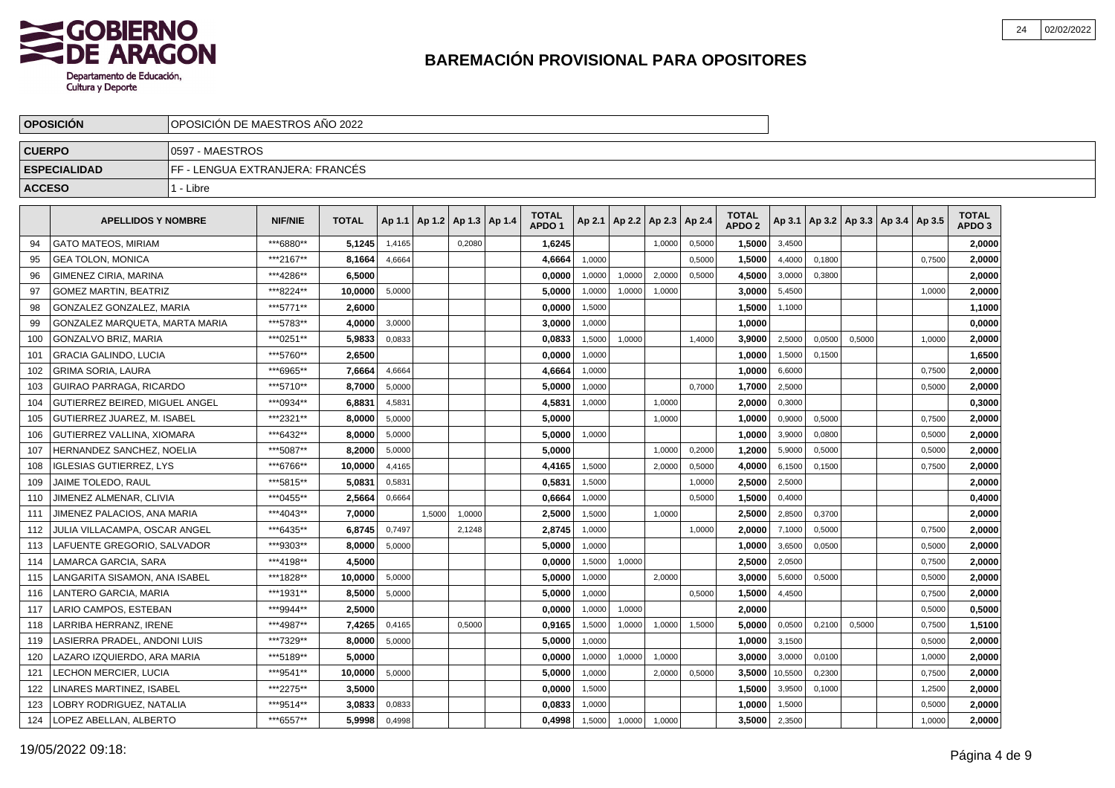

|               | <b>OPOSICION</b><br>OPOSICION DE MAESTROS ANO 2022 |                                 |                |              |        |                          |        |  |                                   |        |                 |        |        |                                   |         |        |        |                                   |        |                                   |  |
|---------------|----------------------------------------------------|---------------------------------|----------------|--------------|--------|--------------------------|--------|--|-----------------------------------|--------|-----------------|--------|--------|-----------------------------------|---------|--------|--------|-----------------------------------|--------|-----------------------------------|--|
| <b>CUERPO</b> |                                                    | 0597 - MAESTROS                 |                |              |        |                          |        |  |                                   |        |                 |        |        |                                   |         |        |        |                                   |        |                                   |  |
|               | <b>ESPECIALIDAD</b>                                | FF - LENGUA EXTRANJERA: FRANCÉS |                |              |        |                          |        |  |                                   |        |                 |        |        |                                   |         |        |        |                                   |        |                                   |  |
| <b>ACCESO</b> |                                                    | 1 - Libre                       |                |              |        |                          |        |  |                                   |        |                 |        |        |                                   |         |        |        |                                   |        |                                   |  |
|               | <b>APELLIDOS Y NOMBRE</b>                          |                                 | <b>NIF/NIE</b> | <b>TOTAL</b> | Ap 1.1 | Ap 1.2   Ap 1.3   Ap 1.4 |        |  | <b>TOTAL</b><br>APDO <sub>1</sub> | Ap 2.1 | Ap 2.2   Ap 2.3 |        | Ap 2.4 | <b>TOTAL</b><br>APDO <sub>2</sub> | Ap 3.1  |        |        | Ap 3.2   Ap 3.3   Ap 3.4   Ap 3.5 |        | <b>TOTAL</b><br>APDO <sub>3</sub> |  |
| 94            | <b>GATO MATEOS, MIRIAM</b>                         |                                 | ***6880**      | 5,1245       | 1,4165 |                          | 0,2080 |  | 1,6245                            |        |                 | 1,0000 | 0,5000 | 1,5000                            | 3,4500  |        |        |                                   |        | 2,0000                            |  |
| 95            | <b>GEA TOLON, MONICA</b>                           |                                 | ***2167**      | 8,1664       | 4,6664 |                          |        |  | 4,6664                            | 1,0000 |                 |        | 0,5000 | 1,5000                            | 4,4000  | 0,1800 |        |                                   | 0,7500 | 2,0000                            |  |
| 96            | <b>GIMENEZ CIRIA, MARINA</b>                       |                                 | ***4286**      | 6.5000       |        |                          |        |  | 0.0000                            | 1.0000 | 1.0000          | 2.0000 | 0.5000 | 4.5000                            | 3,0000  | 0.3800 |        |                                   |        | 2.0000                            |  |
| 97            | <b>GOMEZ MARTIN, BEATRIZ</b>                       |                                 | ***8224**      | 10.0000      | 5,0000 |                          |        |  | 5.0000                            | 1,0000 | 1,0000          | 1,0000 |        | 3.0000                            | 5,4500  |        |        |                                   | 1,0000 | 2,0000                            |  |
| 98            | GONZALEZ GONZALEZ, MARIA                           |                                 | ***5771**      | 2.6000       |        |                          |        |  | 0.0000                            | 1,5000 |                 |        |        | 1,5000                            | 1,1000  |        |        |                                   |        | 1,1000                            |  |
| 99            | GONZALEZ MARQUETA, MARTA MARIA                     |                                 | ***5783**      | 4.0000       | 3,0000 |                          |        |  | 3,0000                            | 1,0000 |                 |        |        | 1,0000                            |         |        |        |                                   |        | 0,0000                            |  |
| 100           | GONZALVO BRIZ. MARIA                               |                                 | ***0251**      | 5,9833       | 0,0833 |                          |        |  | 0,0833                            | 1,5000 | 1,0000          |        | 1,4000 | 3,9000                            | 2,5000  | 0,0500 | 0,5000 |                                   | 1,0000 | 2,0000                            |  |
| 101           | <b>GRACIA GALINDO, LUCIA</b>                       |                                 | ***5760**      | 2,6500       |        |                          |        |  | 0,0000                            | 1,0000 |                 |        |        | 1,0000                            | 1,5000  | 0,1500 |        |                                   |        | 1,6500                            |  |
| 102           | <b>GRIMA SORIA, LAURA</b>                          |                                 | ***6965**      | 7,6664       | 4,6664 |                          |        |  | 4,6664                            | 1,0000 |                 |        |        | 1,0000                            | 6,6000  |        |        |                                   | 0,7500 | 2,0000                            |  |
| 103           | <b>GUIRAO PARRAGA, RICARDO</b>                     |                                 | ***5710**      | 8,7000       | 5,0000 |                          |        |  | 5,0000                            | 1,0000 |                 |        | 0,7000 | 1,7000                            | 2,5000  |        |        |                                   | 0,5000 | 2,0000                            |  |
| 104           | GUTIERREZ BEIRED. MIGUEL ANGEL                     |                                 | ***0934**      | 6,8831       | 4,5831 |                          |        |  | 4,5831                            | 1.0000 |                 | 1.0000 |        | 2,0000                            | 0,3000  |        |        |                                   |        | 0,3000                            |  |
| 105           | <b>GUTIERREZ JUAREZ, M. ISABEL</b>                 |                                 | ***2321**      | 8,0000       | 5.0000 |                          |        |  | 5.0000                            |        |                 | 1.0000 |        | 1.0000                            | 0,9000  | 0.5000 |        |                                   | 0.7500 | 2,0000                            |  |
| 106           | <b>GUTIERREZ VALLINA, XIOMARA</b>                  |                                 | ***6432**      | 8.0000       | 5,0000 |                          |        |  | 5.0000                            | 1,0000 |                 |        |        | 1,0000                            | 3,9000  | 0,0800 |        |                                   | 0,5000 | 2,0000                            |  |
| 107           | HERNANDEZ SANCHEZ, NOELIA                          |                                 | ***5087**      | 8,2000       | 5,0000 |                          |        |  | 5.0000                            |        |                 | 1,0000 | 0,2000 | 1.2000                            | 5,9000  | 0,5000 |        |                                   | 0,5000 | 2,0000                            |  |
| 108           | <b>IGLESIAS GUTIERREZ, LYS</b>                     |                                 | ***6766**      | 10,0000      | 4,4165 |                          |        |  | 4,4165                            | 1,5000 |                 | 2.0000 | 0,5000 | 4.0000                            | 6,1500  | 0,1500 |        |                                   | 0,7500 | 2,0000                            |  |
| 109           | <b>JAIME TOLEDO, RAUL</b>                          |                                 | ***5815**      | 5,0831       | 0,5831 |                          |        |  | 0,5831                            | 1,5000 |                 |        | 1,0000 | 2,5000                            | 2,5000  |        |        |                                   |        | 2,0000                            |  |
| 110           | JIMENEZ ALMENAR, CLIVIA                            |                                 | ***0455**      | 2,5664       | 0,6664 |                          |        |  | 0,6664                            | 1,0000 |                 |        | 0,5000 | 1,5000                            | 0,4000  |        |        |                                   |        | 0,4000                            |  |
| 111           | JIMENEZ PALACIOS, ANA MARIA                        |                                 | ***4043**      | 7,0000       |        | 1,5000                   | 1,0000 |  | 2,5000                            | 1,5000 |                 | 1,0000 |        | 2,5000                            | 2,8500  | 0,3700 |        |                                   |        | 2,0000                            |  |
| 112           | JULIA VILLACAMPA, OSCAR ANGEL                      |                                 | ***6435**      | 6,8745       | 0,7497 |                          | 2,1248 |  | 2,8745                            | 1,0000 |                 |        | 1,0000 | 2,0000                            | 7,1000  | 0,5000 |        |                                   | 0,7500 | 2,0000                            |  |
| 113           | LAFUENTE GREGORIO, SALVADOR                        |                                 | ***9303**      | 8.0000       | 5.0000 |                          |        |  | 5.0000                            | 1.0000 |                 |        |        | 1,0000                            | 3,6500  | 0.0500 |        |                                   | 0,5000 | 2.0000                            |  |
| 114           | LAMARCA GARCIA, SARA                               |                                 | ***4198**      | 4.5000       |        |                          |        |  | 0.0000                            | 1,5000 | 1,0000          |        |        | 2.5000                            | 2,0500  |        |        |                                   | 0,7500 | 2.0000                            |  |
| 115           | LANGARITA SISAMON, ANA ISABEL                      |                                 | ***1828**      | 10.0000      | 5,0000 |                          |        |  | 5.0000                            | 1,0000 |                 | 2,0000 |        | 3.0000                            | 5,6000  | 0,5000 |        |                                   | 0,5000 | 2,0000                            |  |
| 116           | LANTERO GARCIA, MARIA                              |                                 | ***1931**      | 8,5000       | 5,0000 |                          |        |  | 5,0000                            | 1,0000 |                 |        | 0,5000 | 1,5000                            | 4,4500  |        |        |                                   | 0,7500 | 2,0000                            |  |
| 117           | LARIO CAMPOS, ESTEBAN                              |                                 | ***9944**      | 2,5000       |        |                          |        |  | 0,0000                            | 1,0000 | 1,0000          |        |        | 2,0000                            |         |        |        |                                   | 0,5000 | 0,5000                            |  |
| 118           | <b>LARRIBA HERRANZ, IRENE</b>                      |                                 | ***4987**      | 7,4265       | 0,4165 |                          | 0,5000 |  | 0,9165                            | 1,5000 | 1,0000          | 1,0000 | 1,5000 | 5,0000                            | 0,0500  | 0,2100 | 0,5000 |                                   | 0,7500 | 1,5100                            |  |
| 119           | LASIERRA PRADEL. ANDONI LUIS                       |                                 | ***7329**      | 8,0000       | 5,0000 |                          |        |  | 5,0000                            | 1,0000 |                 |        |        | 1,0000                            | 3,1500  |        |        |                                   | 0,5000 | 2,0000                            |  |
| 120           | LAZARO IZQUIERDO, ARA MARIA                        |                                 | ***5189**      | 5,0000       |        |                          |        |  | 0,0000                            | 1,0000 | 1,0000          | 1,0000 |        | 3,0000                            | 3,0000  | 0,0100 |        |                                   | 1,0000 | 2,0000                            |  |
| 121           | LECHON MERCIER, LUCIA                              |                                 | ***9541**      | 10.0000      | 5,0000 |                          |        |  | 5.0000                            | 1,0000 |                 | 2,0000 | 0,5000 | 3.5000                            | 10,5500 | 0,2300 |        |                                   | 0,7500 | 2.0000                            |  |
| 122           | LINARES MARTINEZ. ISABEL                           |                                 | ***2275**      | 3,5000       |        |                          |        |  | 0,0000                            | 1,5000 |                 |        |        | 1,5000                            | 3,9500  | 0,1000 |        |                                   | 1,2500 | 2,0000                            |  |
| 123           | LOBRY RODRIGUEZ, NATALIA                           |                                 | ***9514**      | 3,0833       | 0,0833 |                          |        |  | 0,0833                            | 1,0000 |                 |        |        | 1.0000                            | 1,5000  |        |        |                                   | 0,5000 | 2,0000                            |  |
| 124           | LOPEZ ABELLAN, ALBERTO                             |                                 | ***6557**      | 5,9998       | 0,4998 |                          |        |  | 0.4998                            | 1,5000 | 1,0000          | 1,0000 |        | 3.5000                            | 2,3500  |        |        |                                   | 1,0000 | 2,0000                            |  |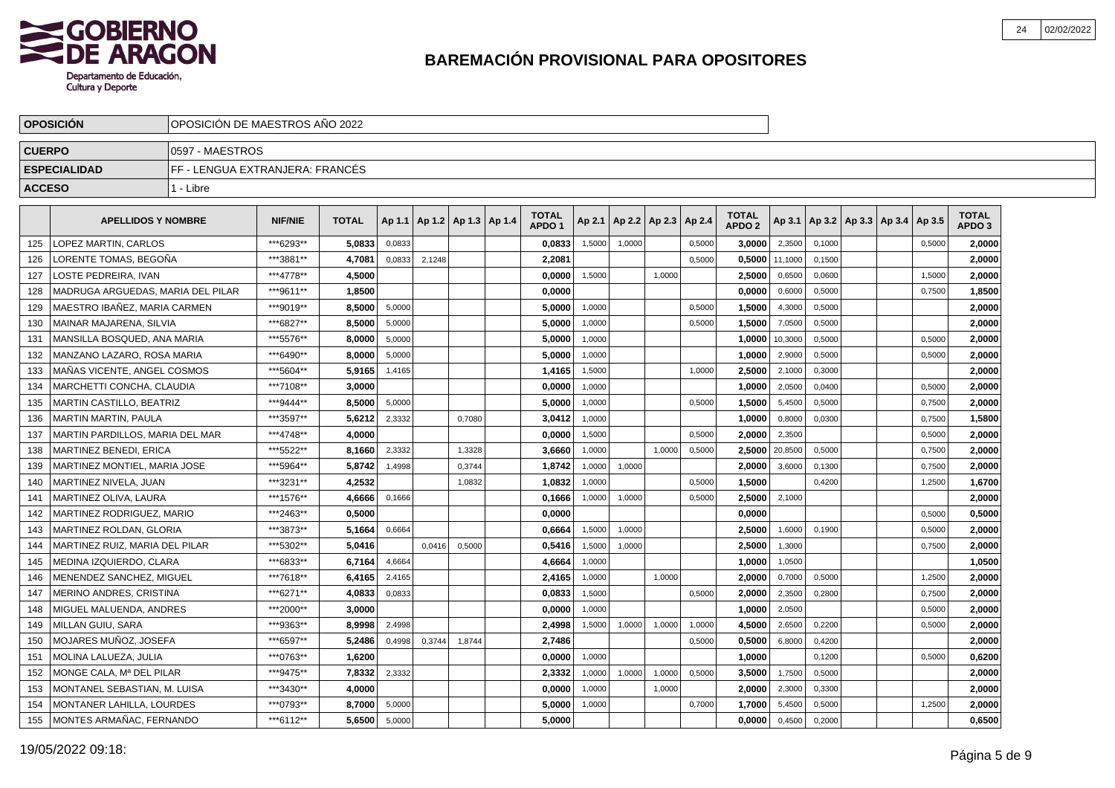

|               | <b>OPOSICION</b>                  | OPOSICION DE MAESTROS ANO 2022  |                |              |        |        |                          |                                   |        |                          |        |        |                                   |         |        |                          |        |                                   |  |
|---------------|-----------------------------------|---------------------------------|----------------|--------------|--------|--------|--------------------------|-----------------------------------|--------|--------------------------|--------|--------|-----------------------------------|---------|--------|--------------------------|--------|-----------------------------------|--|
| <b>CUERPO</b> |                                   | 0597 - MAESTROS                 |                |              |        |        |                          |                                   |        |                          |        |        |                                   |         |        |                          |        |                                   |  |
|               | <b>ESPECIALIDAD</b>               | FF - LENGUA EXTRANJERA: FRANCÉS |                |              |        |        |                          |                                   |        |                          |        |        |                                   |         |        |                          |        |                                   |  |
| <b>ACCESO</b> |                                   | 1 - Libre                       |                |              |        |        |                          |                                   |        |                          |        |        |                                   |         |        |                          |        |                                   |  |
|               | <b>APELLIDOS Y NOMBRE</b>         |                                 | <b>NIF/NIE</b> | <b>TOTAL</b> | Ap 1.1 |        | Ap 1.2   Ap 1.3   Ap 1.4 | <b>TOTAL</b><br>APDO <sub>1</sub> | Ap 2.1 | Ap 2.2   Ap 2.3   Ap 2.4 |        |        | <b>TOTAL</b><br>APDO <sub>2</sub> | Ap 3.1  |        | Ap 3.2   Ap 3.3   Ap 3.4 | Ap 3.5 | <b>TOTAL</b><br>APDO <sub>3</sub> |  |
| 125           | LOPEZ MARTIN, CARLOS              |                                 | ***6293**      | 5,0833       | 0,0833 |        |                          | 0,0833                            | 1,5000 | 1,0000                   |        | 0,5000 | 3,0000                            | 2,3500  | 0,1000 |                          | 0,5000 | 2,0000                            |  |
| 126           | LORENTE TOMAS. BEGOÑA             |                                 | ***3881**      | 4,7081       | 0,0833 | 2,1248 |                          | 2,2081                            |        |                          |        | 0,5000 | 0,5000                            | 11,1000 | 0,1500 |                          |        | 2,0000                            |  |
| 127           | LOSTE PEDREIRA. IVAN              |                                 | ***4778**      | 4.5000       |        |        |                          | 0.0000                            | 1,5000 |                          | 1.0000 |        | 2.5000                            | 0,6500  | 0.0600 |                          | 1.5000 | 2.0000                            |  |
| 128           | MADRUGA ARGUEDAS, MARIA DEL PILAR |                                 | ***9611**      | 1.8500       |        |        |                          | 0.0000                            |        |                          |        |        | 0.0000                            | 0,6000  | 0,5000 |                          | 0,7500 | 1,8500                            |  |
| 129           | MAESTRO IBAÑEZ, MARIA CARMEN      |                                 | ***9019**      | 8.5000       | 5,0000 |        |                          | 5.0000                            | 1,0000 |                          |        | 0,5000 | 1.5000                            | 4,3000  | 0,5000 |                          |        | 2,0000                            |  |
| 130           | MAINAR MAJARENA, SILVIA           |                                 | ***6827**      | 8,5000       | 5,0000 |        |                          | 5,0000                            | 1,0000 |                          |        | 0,5000 | 1,5000                            | 7,0500  | 0,5000 |                          |        | 2,0000                            |  |
| 131           | MANSILLA BOSQUED, ANA MARIA       |                                 | ***5576**      | 8,0000       | 5,0000 |        |                          | 5,0000                            | 1,0000 |                          |        |        | 1,0000                            | 10,3000 | 0,5000 |                          | 0,5000 | 2,0000                            |  |
| 132           | MANZANO LAZARO, ROSA MARIA        |                                 | ***6490**      | 8,0000       | 5,0000 |        |                          | 5,0000                            | 1,0000 |                          |        |        | 1,0000                            | 2,9000  | 0,5000 |                          | 0,5000 | 2,0000                            |  |
| 133           | MAÑAS VICENTE, ANGEL COSMOS       |                                 | ***5604**      | 5,9165       | 1,4165 |        |                          | 1,4165                            | 1,5000 |                          |        | 1,0000 | 2,5000                            | 2,1000  | 0,3000 |                          |        | 2,0000                            |  |
| 134           | MARCHETTI CONCHA, CLAUDIA         |                                 | ***7108**      | 3,0000       |        |        |                          | 0,0000                            | 1,0000 |                          |        |        | 1,0000                            | 2,0500  | 0,0400 |                          | 0,5000 | 2,0000                            |  |
| 135           | <b>MARTIN CASTILLO, BEATRIZ</b>   |                                 | ***9444**      | 8,5000       | 5.0000 |        |                          | 5.0000                            | 1.0000 |                          |        | 0.5000 | 1,5000                            | 5,4500  | 0.5000 |                          | 0.7500 | 2,0000                            |  |
| 136           | <b>MARTIN MARTIN, PAULA</b>       |                                 | ***3597**      | 5,6212       | 2,3332 |        | 0.7080                   | 3.0412                            | 1,0000 |                          |        |        | 1.0000                            | 0,8000  | 0.0300 |                          | 0,7500 | 1,5800                            |  |
| 137           | MARTIN PARDILLOS, MARIA DEL MAR   |                                 | ***4748**      | 4.0000       |        |        |                          | 0.0000                            | 1,5000 |                          |        | 0,5000 | 2.0000                            | 2,3500  |        |                          | 0,5000 | 2,0000                            |  |
| 138           | <b>MARTINEZ BENEDI, ERICA</b>     |                                 | ***5522**      | 8,1660       | 2,3332 |        | 1,3328                   | 3,6660                            | 1,0000 |                          | 1.0000 | 0,5000 | 2.5000                            | 20,8500 | 0,5000 |                          | 0,7500 | 2,0000                            |  |
| 139           | MARTINEZ MONTIEL. MARIA JOSE      |                                 | ***5964**      | 5,8742       | 1.4998 |        | 0,3744                   | 1,8742                            | 1,0000 | 1,0000                   |        |        | 2.0000                            | 3,6000  | 0,1300 |                          | 0,7500 | 2,0000                            |  |
| 140           | MARTINEZ NIVELA, JUAN             |                                 | ***3231**      | 4,2532       |        |        | 1,0832                   | 1,0832                            | 1,0000 |                          |        | 0,5000 | 1,5000                            |         | 0,4200 |                          | 1,2500 | 1,6700                            |  |
| 141           | <b>MARTINEZ OLIVA, LAURA</b>      |                                 | ***1576**      | 4,6666       | 0,1666 |        |                          | 0,1666                            | 1,0000 | 1,0000                   |        | 0,5000 | 2,5000                            | 2,1000  |        |                          |        | 2,0000                            |  |
| 142           | MARTINEZ RODRIGUEZ, MARIO         |                                 | ***2463**      | 0,5000       |        |        |                          | 0,0000                            |        |                          |        |        | 0,0000                            |         |        |                          | 0,5000 | 0,5000                            |  |
| 143           | MARTINEZ ROLDAN, GLORIA           |                                 | ***3873**      | 5,1664       | 0,6664 |        |                          | 0,6664                            | 1,5000 | 1,0000                   |        |        | 2,5000                            | 1,6000  | 0,1900 |                          | 0,5000 | 2,0000                            |  |
| 144           | MARTINEZ RUIZ, MARIA DEL PILAR    |                                 | ***5302**      | 5,0416       |        | 0.0416 | 0.5000                   | 0,5416                            | 1.5000 | 1.0000                   |        |        | 2,5000                            | 1,3000  |        |                          | 0,7500 | 2.0000                            |  |
| 145           | MEDINA IZQUIERDO, CLARA           |                                 | ***6833**      | 6.7164       | 4,6664 |        |                          | 4.6664                            | 1,0000 |                          |        |        | 1.0000                            | 1,0500  |        |                          |        | 1,0500                            |  |
| 146           | MENENDEZ SANCHEZ, MIGUEL          |                                 | ***7618**      | 6.4165       | 2,4165 |        |                          | 2.4165                            | 1,0000 |                          | 1,0000 |        | 2.0000                            | 0,7000  | 0,5000 |                          | 1,2500 | 2.0000                            |  |
| 147           | MERINO ANDRES, CRISTINA           |                                 | ***6271**      | 4,0833       | 0,0833 |        |                          | 0,0833                            | 1,5000 |                          |        | 0,5000 | 2,0000                            | 2,3500  | 0,2800 |                          | 0,7500 | 2,0000                            |  |
| 148           | MIGUEL MALUENDA, ANDRES           |                                 | ***2000**      | 3.0000       |        |        |                          | 0,0000                            | 1,0000 |                          |        |        | 1,0000                            | 2,0500  |        |                          | 0,5000 | 2,0000                            |  |
| 149           | MILLAN GUIU, SARA                 |                                 | ***9363**      | 8,9998       | 2,4998 |        |                          | 2,4998                            | 1,5000 | 1,0000                   | 1,0000 | 1,0000 | 4,5000                            | 2,6500  | 0,2200 |                          | 0,5000 | 2,0000                            |  |
| 150           | MOJARES MUÑOZ, JOSEFA             |                                 | ***6597**      | 5,2486       | 0,4998 | 0,3744 | 1,8744                   | 2,7486                            |        |                          |        | 0,5000 | 0,5000                            | 6,8000  | 0,4200 |                          |        | 2,0000                            |  |
| 151           | MOLINA LALUEZA, JULIA             |                                 | ***0763**      | 1,6200       |        |        |                          | 0,0000                            | 1,0000 |                          |        |        | 1,0000                            |         | 0,1200 |                          | 0,5000 | 0,6200                            |  |
| 152           | MONGE CALA. Mª DEL PILAR          |                                 | ***9475**      | 7,8332       | 2,3332 |        |                          | 2,3332                            | 1,0000 | 1.0000                   | 1.0000 | 0.5000 | 3.5000                            | 1,7500  | 0.5000 |                          |        | 2,0000                            |  |
| 153           | MONTANEL SEBASTIAN, M. LUISA      |                                 | ***3430**      | 4,0000       |        |        |                          | 0,0000                            | 1,0000 |                          | 1,0000 |        | 2,0000                            | 2,3000  | 0,3300 |                          |        | 2,0000                            |  |
| 154           | <b>MONTANER LAHILLA, LOURDES</b>  |                                 | ***0793**      | 8,7000       | 5,0000 |        |                          | 5,0000                            | 1,0000 |                          |        | 0,7000 | 1.7000                            | 5,4500  | 0,5000 |                          | 1,2500 | 2,0000                            |  |
| 155           | MONTES ARMAÑAC, FERNANDO          |                                 | ***6112**      | 5,6500       | 5,0000 |        |                          | 5.0000                            |        |                          |        |        | 0.0000                            | 0,4500  | 0,2000 |                          |        | 0,6500                            |  |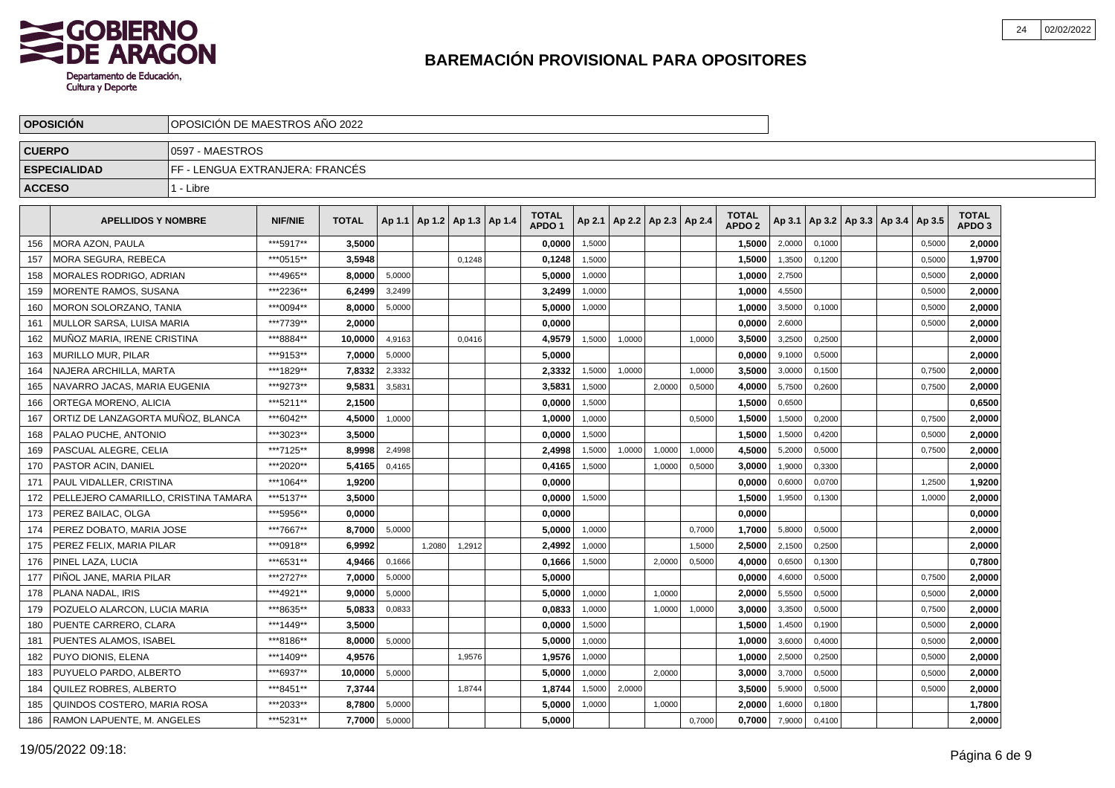

|               | <b>OPOSICION</b>                     | OPOSICION DE MAESTROS ANO 2022  |                |              |        |                                   |        |                                   |        |                          |        |        |                                   |        |        |                                   |        |                                   |  |
|---------------|--------------------------------------|---------------------------------|----------------|--------------|--------|-----------------------------------|--------|-----------------------------------|--------|--------------------------|--------|--------|-----------------------------------|--------|--------|-----------------------------------|--------|-----------------------------------|--|
| <b>CUERPO</b> |                                      | 10597 - MAESTROS                |                |              |        |                                   |        |                                   |        |                          |        |        |                                   |        |        |                                   |        |                                   |  |
|               | <b>ESPECIALIDAD</b>                  | FF - LENGUA EXTRANJERA: FRANCÉS |                |              |        |                                   |        |                                   |        |                          |        |        |                                   |        |        |                                   |        |                                   |  |
| <b>ACCESO</b> |                                      | 1 - Libre                       |                |              |        |                                   |        |                                   |        |                          |        |        |                                   |        |        |                                   |        |                                   |  |
|               | <b>APELLIDOS Y NOMBRE</b>            |                                 | <b>NIF/NIE</b> | <b>TOTAL</b> |        | Ap 1.1   Ap 1.2   Ap 1.3   Ap 1.4 |        | <b>TOTAL</b><br>APDO <sub>1</sub> | Ap 2.1 | Ap 2.2   Ap 2.3   Ap 2.4 |        |        | <b>TOTAL</b><br>APDO <sub>2</sub> | Ap 3.1 |        | Ap 3.2   Ap 3.3   Ap 3.4   Ap 3.5 |        | <b>TOTAL</b><br>APDO <sub>3</sub> |  |
| 156           | <b>MORA AZON, PAULA</b>              |                                 | ***5917**      | 3.5000       |        |                                   |        | 0,0000                            | 1,5000 |                          |        |        | 1,5000                            | 2,0000 | 0.1000 |                                   | 0,5000 | 2.0000                            |  |
| 157           | MORA SEGURA, REBECA                  |                                 | ***0515**      | 3,5948       |        |                                   | 0,1248 | 0,1248                            | 1,5000 |                          |        |        | 1,5000                            | 1,3500 | 0.1200 |                                   | 0,5000 | 1,9700                            |  |
| 158           | MORALES RODRIGO, ADRIAN              |                                 | ***4965**      | 8.0000       | 5,0000 |                                   |        | 5,0000                            | 1,0000 |                          |        |        | 1,0000                            | 2,7500 |        |                                   | 0,5000 | 2,0000                            |  |
| 159           | MORENTE RAMOS, SUSANA                |                                 | ***2236**      | 6.2499       | 3,2499 |                                   |        | 3,2499                            | 1,0000 |                          |        |        | 1,0000                            | 4,5500 |        |                                   | 0,5000 | 2,0000                            |  |
| 160           | MORON SOLORZANO, TANIA               |                                 | ***0094**      | 8,0000       | 5,0000 |                                   |        | 5,0000                            | 1,0000 |                          |        |        | 1,0000                            | 3,5000 | 0,1000 |                                   | 0,5000 | 2,0000                            |  |
| 161           | MULLOR SARSA. LUISA MARIA            |                                 | ***7739**      | 2.0000       |        |                                   |        | 0.0000                            |        |                          |        |        | 0.0000                            | 2,6000 |        |                                   | 0,5000 | 2,0000                            |  |
| 162           | MUÑOZ MARIA. IRENE CRISTINA          |                                 | ***8884**      | 10,0000      | 4,9163 |                                   | 0,0416 | 4,9579                            | 1,5000 | 1,0000                   |        | 1,0000 | 3,5000                            | 3,2500 | 0.2500 |                                   |        | 2,0000                            |  |
| 163           | <b>MURILLO MUR. PILAR</b>            |                                 | ***9153**      | 7,0000       | 5,0000 |                                   |        | 5,0000                            |        |                          |        |        | 0.0000                            | 9,1000 | 0,5000 |                                   |        | 2,0000                            |  |
| 164           | NAJERA ARCHILLA. MARTA               |                                 | ***1829**      | 7,8332       | 2,3332 |                                   |        | 2,3332                            | 1,5000 | 1,0000                   |        | 1,0000 | 3,5000                            | 3,0000 | 0,1500 |                                   | 0,7500 | 2,0000                            |  |
| 165           | NAVARRO JACAS, MARIA EUGENIA         |                                 | ***9273**      | 9,5831       | 3,5831 |                                   |        | 3,5831                            | 1,5000 |                          | 2,0000 | 0,5000 | 4,0000                            | 5,7500 | 0,2600 |                                   | 0,7500 | 2,0000                            |  |
| 166           | ORTEGA MORENO, ALICIA                |                                 | ***5211**      | 2,1500       |        |                                   |        | 0,0000                            | 1,5000 |                          |        |        | 1,5000                            | 0,6500 |        |                                   |        | 0,6500                            |  |
| 167           | ORTIZ DE LANZAGORTA MUÑOZ. BLANCA    |                                 | ***6042**      | 4,5000       | 1.0000 |                                   |        | 1,0000                            | 1.0000 |                          |        | 0.5000 | 1,5000                            | 1,5000 | 0.2000 |                                   | 0.7500 | 2,0000                            |  |
| 168           | PALAO PUCHE, ANTONIO                 |                                 | ***3023**      | 3.5000       |        |                                   |        | 0.0000                            | 1,5000 |                          |        |        | 1,5000                            | 1,5000 | 0,4200 |                                   | 0,5000 | 2,0000                            |  |
| 169           | <b>PASCUAL ALEGRE. CELIA</b>         |                                 | ***7125**      | 8.9998       | 2,4998 |                                   |        | 2,4998                            | 1,5000 | 1,0000                   | 1,0000 | 1,0000 | 4,5000                            | 5,2000 | 0,5000 |                                   | 0,7500 | 2,0000                            |  |
| 170           | <b>PASTOR ACIN, DANIEL</b>           |                                 | ***2020**      | 5,4165       | 0,4165 |                                   |        | 0,4165                            | 1,5000 |                          | 1,0000 | 0,5000 | 3,0000                            | 1,9000 | 0,3300 |                                   |        | 2,0000                            |  |
| 171           | PAUL VIDALLER, CRISTINA              |                                 | ***1064**      | 1,9200       |        |                                   |        | 0,0000                            |        |                          |        |        | 0,0000                            | 0,6000 | 0,0700 |                                   | 1,2500 | 1,9200                            |  |
| 172           | PELLEJERO CAMARILLO, CRISTINA TAMARA |                                 | ***5137**      | 3,5000       |        |                                   |        | 0,0000                            | 1,5000 |                          |        |        | 1,5000                            | 1,9500 | 0,1300 |                                   | 1,0000 | 2,0000                            |  |
| 173           | PEREZ BAILAC, OLGA                   |                                 | ***5956**      | 0.0000       |        |                                   |        | 0.0000                            |        |                          |        |        | 0.0000                            |        |        |                                   |        | 0.0000                            |  |
| 174           | PEREZ DOBATO. MARIA JOSE             |                                 | ***7667**      | 8.7000       | 5,0000 |                                   |        | 5.0000                            | 1,0000 |                          |        | 0,7000 | 1,7000                            | 5,8000 | 0,5000 |                                   |        | 2,0000                            |  |
| 175           | PEREZ FELIX, MARIA PILAR             |                                 | ***0918**      | 6,9992       |        | 1,2080                            | 1,2912 | 2,4992                            | 1,0000 |                          |        | 1,5000 | 2,5000                            | 2,1500 | 0,2500 |                                   |        | 2,0000                            |  |
| 176           | PINEL LAZA. LUCIA                    |                                 | ***6531**      | 4,9466       | 0,1666 |                                   |        | 0,1666                            | 1,5000 |                          | 2,0000 | 0,5000 | 4,0000                            | 0,6500 | 0,1300 |                                   |        | 0,7800                            |  |
| 177           | PIÑOL JANE, MARIA PILAR              |                                 | ***2727**      | 7,0000       | 5,0000 |                                   |        | 5,0000                            |        |                          |        |        | 0,0000                            | 4,6000 | 0,5000 |                                   | 0,7500 | 2,0000                            |  |
| 178           | PLANA NADAL, IRIS                    |                                 | ***4921**      | 9.0000       | 5,0000 |                                   |        | 5,0000                            | 1,0000 |                          | 1,0000 |        | 2,0000                            | 5,5500 | 0,5000 |                                   | 0,5000 | 2,0000                            |  |
| 179           | POZUELO ALARCON, LUCIA MARIA         |                                 | ***8635**      | 5.0833       | 0,0833 |                                   |        | 0.0833                            | 1,0000 |                          | 1,0000 | 1,0000 | 3.0000                            | 3,3500 | 0.5000 |                                   | 0,7500 | 2,0000                            |  |
| 180           | PUENTE CARRERO, CLARA                |                                 | ***1449**      | 3.5000       |        |                                   |        | 0,0000                            | 1,5000 |                          |        |        | 1,5000                            | 1,4500 | 0,1900 |                                   | 0,5000 | 2,0000                            |  |
| 181           | PUENTES ALAMOS. ISABEL               |                                 | ***8186**      | 8.0000       | 5,0000 |                                   |        | 5,0000                            | 1,0000 |                          |        |        | 1.0000                            | 3,6000 | 0,4000 |                                   | 0,5000 | 2,0000                            |  |
| 182           | PUYO DIONIS, ELENA                   |                                 | ***1409**      | 4,9576       |        |                                   | 1,9576 | 1,9576                            | 1,0000 |                          |        |        | 1,0000                            | 2,5000 | 0,2500 |                                   | 0,5000 | 2,0000                            |  |
| 183           | PUYUELO PARDO, ALBERTO               |                                 | ***6937**      | 10,0000      | 5,0000 |                                   |        | 5,0000                            | 1,0000 |                          | 2,0000 |        | 3,0000                            | 3,7000 | 0,5000 |                                   | 0,5000 | 2,0000                            |  |
| 184           | QUILEZ ROBRES, ALBERTO               |                                 | ***8451**      | 7,3744       |        |                                   | 1,8744 | 1,8744                            | 1,5000 | 2,0000                   |        |        | 3,5000                            | 5,9000 | 0,5000 |                                   | 0,5000 | 2,0000                            |  |
| 185           | QUINDOS COSTERO. MARIA ROSA          |                                 | ***2033**      | 8.7800       | 5,0000 |                                   |        | 5.0000                            | 1,0000 |                          | 1,0000 |        | 2.0000                            | 1,6000 | 0,1800 |                                   |        | 1,7800                            |  |
| 186           | RAMON LAPUENTE, M. ANGELES           |                                 | ***5231**      | 7,7000       | 5,0000 |                                   |        | 5.0000                            |        |                          |        | 0,7000 | 0,7000                            | 7,9000 | 0,4100 |                                   |        | 2,0000                            |  |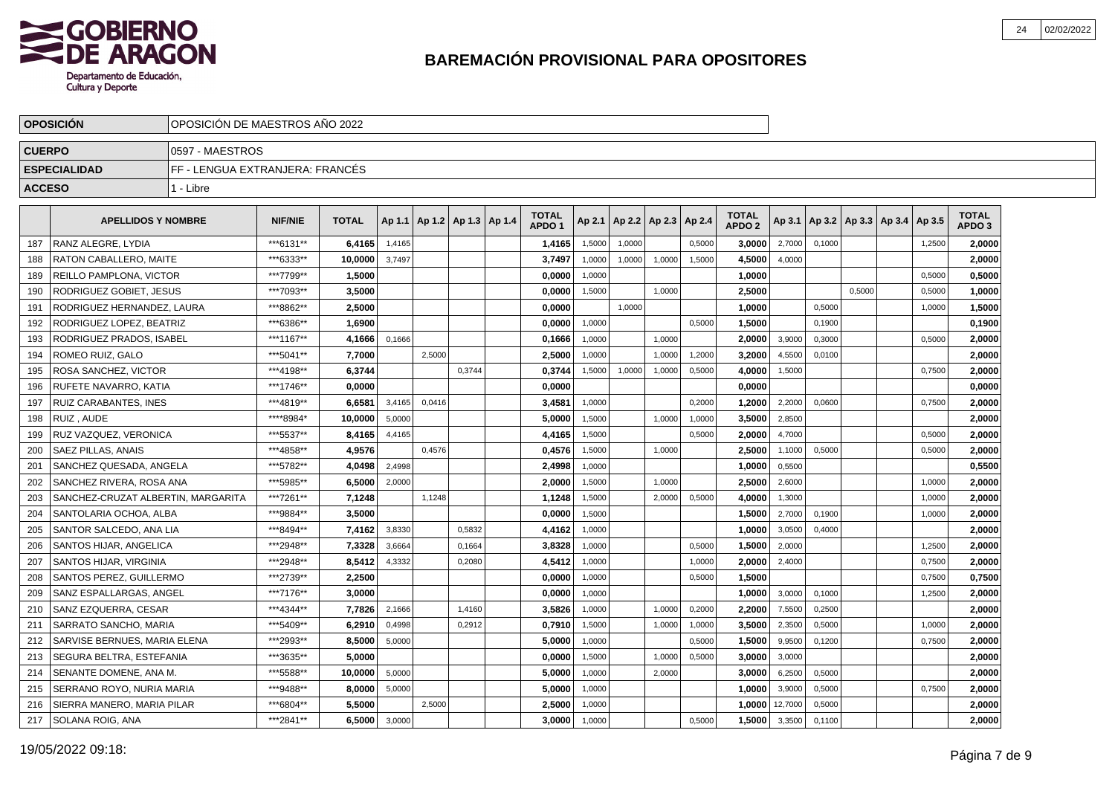

|               | <b>OPOSICION</b>                   | OPOSICION DE MAESTROS ANO 2022  |                |              |        |        |                                   |                                   |        |        |                          |        |                                   |         |        |                                   |        |                                   |  |
|---------------|------------------------------------|---------------------------------|----------------|--------------|--------|--------|-----------------------------------|-----------------------------------|--------|--------|--------------------------|--------|-----------------------------------|---------|--------|-----------------------------------|--------|-----------------------------------|--|
| <b>CUERPO</b> |                                    | 0597 - MAESTROS                 |                |              |        |        |                                   |                                   |        |        |                          |        |                                   |         |        |                                   |        |                                   |  |
|               | <b>ESPECIALIDAD</b>                | FF - LENGUA EXTRANJERA: FRANCÉS |                |              |        |        |                                   |                                   |        |        |                          |        |                                   |         |        |                                   |        |                                   |  |
| <b>ACCESO</b> |                                    | 1 - Libre                       |                |              |        |        |                                   |                                   |        |        |                          |        |                                   |         |        |                                   |        |                                   |  |
|               | <b>APELLIDOS Y NOMBRE</b>          |                                 | <b>NIF/NIE</b> | <b>TOTAL</b> |        |        | Ap 1.1   Ap 1.2   Ap 1.3   Ap 1.4 | <b>TOTAL</b><br>APDO <sub>1</sub> | Ap 2.1 |        | Ap 2.2   Ap 2.3   Ap 2.4 |        | <b>TOTAL</b><br>APDO <sub>2</sub> | Ap 3.1  |        | Ap 3.2   Ap 3.3   Ap 3.4   Ap 3.5 |        | <b>TOTAL</b><br>APDO <sub>3</sub> |  |
| 187           | RANZ ALEGRE, LYDIA                 |                                 | ***6131**      | 6.4165       | 1,4165 |        |                                   | 1,4165                            | 1,5000 | 1,0000 |                          | 0,5000 | 3.0000                            | 2,7000  | 0.1000 |                                   | 1,2500 | 2.0000                            |  |
| 188           | RATON CABALLERO, MAITE             |                                 | ***6333**      | 10.0000      | 3,7497 |        |                                   | 3,7497                            | 1,0000 | 1,0000 | 1.0000                   | 1,5000 | 4,5000                            | 4,0000  |        |                                   |        | 2.0000                            |  |
| 189           | REILLO PAMPLONA, VICTOR            |                                 | ***7799**      | 1,5000       |        |        |                                   | 0,0000                            | 1,0000 |        |                          |        | 1,0000                            |         |        |                                   | 0,5000 | 0,5000                            |  |
| 190           | RODRIGUEZ GOBIET, JESUS            |                                 | ***7093**      | 3.5000       |        |        |                                   | 0,0000                            | 1,5000 |        | 1,0000                   |        | 2,5000                            |         |        | 0,5000                            | 0,5000 | 1,0000                            |  |
| 191           | RODRIGUEZ HERNANDEZ, LAURA         |                                 | ***8862**      | 2,5000       |        |        |                                   | 0,0000                            |        | 1,0000 |                          |        | 1,0000                            |         | 0,5000 |                                   | 1,0000 | 1,5000                            |  |
| 192           | RODRIGUEZ LOPEZ. BEATRIZ           |                                 | ***6386**      | 1.6900       |        |        |                                   | 0.0000                            | 1,0000 |        |                          | 0,5000 | 1.5000                            |         | 0.1900 |                                   |        | 0,1900                            |  |
| 193           | RODRIGUEZ PRADOS, ISABEL           |                                 | ***1167**      | 4,1666       | 0.1666 |        |                                   | 0,1666                            | 1,0000 |        | 1.0000                   |        | 2.0000                            | 3,9000  | 0.3000 |                                   | 0.5000 | 2,0000                            |  |
| 194           | ROMEO RUIZ. GALO                   |                                 | ***5041**      | 7,7000       |        | 2,5000 |                                   | 2,5000                            | 1,0000 |        | 1,0000                   | 1,2000 | 3,2000                            | 4,5500  | 0.0100 |                                   |        | 2,0000                            |  |
| 195           | ROSA SANCHEZ, VICTOR               |                                 | ***4198**      | 6.3744       |        |        | 0,3744                            | 0,3744                            | 1,5000 | 1,0000 | 1,0000                   | 0,5000 | 4,0000                            | 1,5000  |        |                                   | 0,7500 | 2,0000                            |  |
| 196           | RUFETE NAVARRO, KATIA              |                                 | ***1746**      | 0,0000       |        |        |                                   | 0,0000                            |        |        |                          |        | 0,0000                            |         |        |                                   |        | 0,0000                            |  |
| 197           | RUIZ CARABANTES, INES              |                                 | ***4819**      | 6,6581       | 3,4165 | 0,0416 |                                   | 3,4581                            | 1,0000 |        |                          | 0,2000 | 1,2000                            | 2,2000  | 0,0600 |                                   | 0,7500 | 2,0000                            |  |
| 198           | RUIZ, AUDE                         |                                 | ****8984*      | 10.0000      | 5.0000 |        |                                   | 5,0000                            | 1,5000 |        | 1.0000                   | 1,0000 | 3,5000                            | 2,8500  |        |                                   |        | 2,0000                            |  |
| 199           | RUZ VAZQUEZ. VERONICA              |                                 | ***5537**      | 8,4165       | 4,4165 |        |                                   | 4,4165                            | 1,5000 |        |                          | 0.5000 | 2.0000                            | 4,7000  |        |                                   | 0.5000 | 2,0000                            |  |
| 200           | SAEZ PILLAS, ANAIS                 |                                 | ***4858**      | 4.9576       |        | 0.4576 |                                   | 0,4576                            | 1,5000 |        | 1,0000                   |        | 2,5000                            | 1,1000  | 0,5000 |                                   | 0,5000 | 2,0000                            |  |
| 201           | SANCHEZ QUESADA, ANGELA            |                                 | ***5782**      | 4,0498       | 2,4998 |        |                                   | 2,4998                            | 1,0000 |        |                          |        | 1,0000                            | 0,5500  |        |                                   |        | 0,5500                            |  |
| 202           | SANCHEZ RIVERA, ROSA ANA           |                                 | ***5985**      | 6,5000       | 2,0000 |        |                                   | 2,0000                            | 1,5000 |        | 1,0000                   |        | 2,5000                            | 2,6000  |        |                                   | 1,0000 | 2,0000                            |  |
| 203           | SANCHEZ-CRUZAT ALBERTIN, MARGARITA |                                 | ***7261**      | 7,1248       |        | 1,1248 |                                   | 1,1248                            | 1,5000 |        | 2,0000                   | 0,5000 | 4,0000                            | 1,3000  |        |                                   | 1,0000 | 2,0000                            |  |
| 204           | SANTOLARIA OCHOA, ALBA             |                                 | ***9884**      | 3.5000       |        |        |                                   | 0.0000                            | 1.5000 |        |                          |        | 1.5000                            | 2,7000  | 0.1900 |                                   | 1.0000 | 2.0000                            |  |
| 205           | SANTOR SALCEDO. ANA LIA            |                                 | ***8494**      | 7,4162       | 3,8330 |        | 0.5832                            | 4,4162                            | 1,0000 |        |                          |        | 1.0000                            | 3,0500  | 0,4000 |                                   |        | 2.0000                            |  |
| 206           | SANTOS HIJAR, ANGELICA             |                                 | ***2948**      | 7,3328       | 3,6664 |        | 0,1664                            | 3,8328                            | 1,0000 |        |                          | 0,5000 | 1,5000                            | 2,0000  |        |                                   | 1,2500 | 2,0000                            |  |
| 207           | SANTOS HIJAR, VIRGINIA             |                                 | ***2948**      | 8,5412       | 4,3332 |        | 0,2080                            | 4,5412                            | 1,0000 |        |                          | 1,0000 | 2.0000                            | 2,4000  |        |                                   | 0,7500 | 2.0000                            |  |
| 208           | SANTOS PEREZ, GUILLERMO            |                                 | ***2739**      | 2,2500       |        |        |                                   | 0,0000                            | 1,0000 |        |                          | 0,5000 | 1,5000                            |         |        |                                   | 0,7500 | 0,7500                            |  |
| 209           | SANZ ESPALLARGAS, ANGEL            |                                 | ***7176**      | 3.0000       |        |        |                                   | 0,0000                            | 1,0000 |        |                          |        | 1,0000                            | 3,0000  | 0,1000 |                                   | 1,2500 | 2,0000                            |  |
| 210           | SANZ EZQUERRA, CESAR               |                                 | ***4344**      | 7.7826       | 2,1666 |        | 1.4160                            | 3,5826                            | 1,0000 |        | 1.0000                   | 0,2000 | 2.2000                            | 7,5500  | 0.2500 |                                   |        | 2.0000                            |  |
| 211           | SARRATO SANCHO, MARIA              |                                 | ***5409**      | 6.2910       | 0,4998 |        | 0,2912                            | 0.7910                            | 1,5000 |        | 1,0000                   | 1,0000 | 3.5000                            | 2,3500  | 0,5000 |                                   | 1,0000 | 2.0000                            |  |
| 212           | SARVISE BERNUES, MARIA ELENA       |                                 | ***2993**      | 8.5000       | 5,0000 |        |                                   | 5,0000                            | 1,0000 |        |                          | 0,5000 | 1,5000                            | 9,9500  | 0,1200 |                                   | 0,7500 | 2,0000                            |  |
| 213           | SEGURA BELTRA, ESTEFANIA           |                                 | ***3635**      | 5,0000       |        |        |                                   | 0,0000                            | 1,5000 |        | 1,0000                   | 0,5000 | 3,0000                            | 3,0000  |        |                                   |        | 2,0000                            |  |
| 214           | SENANTE DOMENE, ANA M.             |                                 | ***5588**      | 10.0000      | 5,0000 |        |                                   | 5,0000                            | 1,0000 |        | 2,0000                   |        | 3,0000                            | 6,2500  | 0,5000 |                                   |        | 2,0000                            |  |
| 215           | SERRANO ROYO, NURIA MARIA          |                                 | ***9488**      | 8,0000       | 5,0000 |        |                                   | 5,0000                            | 1,0000 |        |                          |        | 1,0000                            | 3,9000  | 0,5000 |                                   | 0,7500 | 2,0000                            |  |
| 216           | SIERRA MANERO, MARIA PILAR         |                                 | ***6804**      | 5.5000       |        | 2,5000 |                                   | 2,5000                            | 1,0000 |        |                          |        | 1.0000                            | 12,7000 | 0,5000 |                                   |        | 2.0000                            |  |
|               | 217 SOLANA ROIG, ANA               |                                 | ***2841**      | 6,5000       | 3,0000 |        |                                   | 3,0000                            | 1,0000 |        |                          | 0,5000 | 1,5000                            | 3,3500  | 0,1100 |                                   |        | 2,0000                            |  |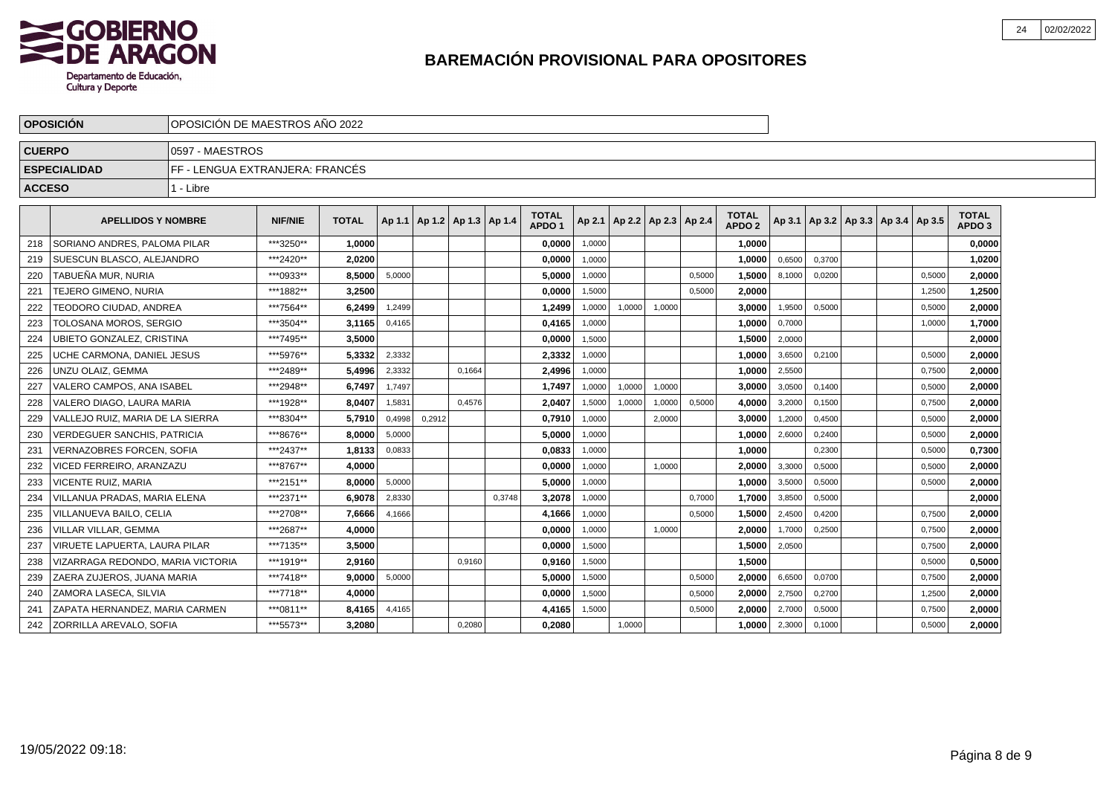

|               | <b>OPOSICION</b>                  | OPOSICIÓN DE MAESTROS AÑO 2022  |           |              |        |                                   |        |        |                                   |        |                                   |        |        |                                   |        |        |                                            |        |                                   |  |
|---------------|-----------------------------------|---------------------------------|-----------|--------------|--------|-----------------------------------|--------|--------|-----------------------------------|--------|-----------------------------------|--------|--------|-----------------------------------|--------|--------|--------------------------------------------|--------|-----------------------------------|--|
| <b>CUERPO</b> |                                   | 0597 - MAESTROS                 |           |              |        |                                   |        |        |                                   |        |                                   |        |        |                                   |        |        |                                            |        |                                   |  |
|               | <b>ESPECIALIDAD</b>               | FF - LENGUA EXTRANJERA: FRANCÉS |           |              |        |                                   |        |        |                                   |        |                                   |        |        |                                   |        |        |                                            |        |                                   |  |
| <b>ACCESO</b> |                                   | 1 - Libre                       |           |              |        |                                   |        |        |                                   |        |                                   |        |        |                                   |        |        |                                            |        |                                   |  |
|               | <b>APELLIDOS Y NOMBRE</b>         |                                 | NIF/NIE   | <b>TOTAL</b> |        | Ap 1.1   Ap 1.2   Ap 1.3   Ap 1.4 |        |        | <b>TOTAL</b><br>APDO <sub>1</sub> |        | Ap 2.1   Ap 2.2   Ap 2.3   Ap 2.4 |        |        | <b>TOTAL</b><br>APDO <sub>2</sub> |        |        | Ap 3.1   Ap 3.2   Ap 3.3   Ap 3.4   Ap 3.5 |        | <b>TOTAL</b><br>APDO <sub>3</sub> |  |
| 218           | SORIANO ANDRES, PALOMA PILAR      |                                 | ***3250** | 1.0000       |        |                                   |        |        | 0.0000                            | 1,0000 |                                   |        |        | 1.0000                            |        |        |                                            |        | 0.0000                            |  |
| 219           | <b>ISUESCUN BLASCO, ALEJANDRO</b> |                                 | ***2420** | 2.0200       |        |                                   |        |        | 0,0000                            | 1,0000 |                                   |        |        | 1.0000                            | 0,6500 | 0,3700 |                                            |        | 1,0200                            |  |
| 220           | <b>TABUEÑA MUR. NURIA</b>         |                                 | ***0933** | 8,5000       | 5,0000 |                                   |        |        | 5,0000                            | 1,0000 |                                   |        | 0,5000 | 1,5000                            | 8,1000 | 0,0200 |                                            | 0,5000 | 2,0000                            |  |
| 221           | TEJERO GIMENO, NURIA              |                                 | ***1882** | 3.2500       |        |                                   |        |        | 0,0000                            | 1,5000 |                                   |        | 0,5000 | 2,0000                            |        |        |                                            | 1,2500 | 1,2500                            |  |
| 222           | TEODORO CIUDAD, ANDREA            |                                 | ***7564** | 6.2499       | 1,2499 |                                   |        |        | 1,2499                            | 1.0000 | 1.0000                            | 1,0000 |        | 3.0000                            | 1,9500 | 0.5000 |                                            | 0.5000 | 2,0000                            |  |
| 223           | <b>TOLOSANA MOROS, SERGIO</b>     |                                 | ***3504** | 3,1165       | 0,4165 |                                   |        |        | 0,4165                            | 1,0000 |                                   |        |        | 1.0000                            | 0,7000 |        |                                            | 1,0000 | 1,7000                            |  |
| 224           | <b>UBIETO GONZALEZ, CRISTINA</b>  |                                 | ***7495** | 3.5000       |        |                                   |        |        | 0.0000                            | 1,5000 |                                   |        |        | 1.5000                            | 2,0000 |        |                                            |        | 2.0000                            |  |
| 225           | UCHE CARMONA, DANIEL JESUS        |                                 | ***5976** | 5,3332       | 2,3332 |                                   |        |        | 2,3332                            | 1,0000 |                                   |        |        | 1.0000                            | 3,6500 | 0.2100 |                                            | 0.5000 | 2,0000                            |  |
| 226           | UNZU OLAIZ. GEMMA                 |                                 | ***2489** | 5,4996       | 2,3332 |                                   | 0,1664 |        | 2,4996                            | 1,0000 |                                   |        |        | 1,0000                            | 2,5500 |        |                                            | 0,7500 | 2,0000                            |  |
| 227           | l VALERO CAMPOS. ANA ISABEL       |                                 | ***2948** | 6.7497       | 1,7497 |                                   |        |        | 1.7497                            | 1,0000 | 1,0000                            | 1,0000 |        | 3.0000                            | 3,0500 | 0,1400 |                                            | 0,5000 | 2.0000                            |  |
| 228           | VALERO DIAGO, LAURA MARIA         |                                 | ***1928** | 8,0407       | 1,5831 |                                   | 0,4576 |        | 2,0407                            | 1,5000 | 1,0000                            | 1,0000 | 0,5000 | 4,0000                            | 3,2000 | 0,1500 |                                            | 0,7500 | 2,0000                            |  |
| 229           | VALLEJO RUIZ. MARIA DE LA SIERRA  |                                 | ***8304** | 5.7910       | 0,4998 | 0,2912                            |        |        | 0,7910                            | 1,0000 |                                   | 2,0000 |        | 3,0000                            | 1,2000 | 0,4500 |                                            | 0,5000 | 2,0000                            |  |
| 230           | VERDEGUER SANCHIS, PATRICIA       |                                 | ***8676** | 8.0000       | 5,0000 |                                   |        |        | 5,0000                            | 1,0000 |                                   |        |        | 1,0000                            | 2,6000 | 0,2400 |                                            | 0,5000 | 2,0000                            |  |
| 231           | <b>VERNAZOBRES FORCEN, SOFIA</b>  |                                 | ***2437** | 1,8133       | 0,0833 |                                   |        |        | 0,0833                            | 1,0000 |                                   |        |        | 1,0000                            |        | 0,2300 |                                            | 0,5000 | 0,7300                            |  |
| 232           | VICED FERREIRO. ARANZAZU          |                                 | ***8767** | 4.0000       |        |                                   |        |        | 0,0000                            | 1,0000 |                                   | 1.0000 |        | 2.0000                            | 3,3000 | 0.5000 |                                            | 0,5000 | 2,0000                            |  |
| 233           | <b>VICENTE RUIZ, MARIA</b>        |                                 | ***2151** | 8.0000       | 5,0000 |                                   |        |        | 5,0000                            | 1,0000 |                                   |        |        | 1.0000                            | 3,5000 | 0.5000 |                                            | 0,5000 | 2,0000                            |  |
| 234           | VILLANUA PRADAS. MARIA ELENA      |                                 | ***2371** | 6.9078       | 2.8330 |                                   |        | 0.3748 | 3.2078                            | 1,0000 |                                   |        | 0.7000 | 1.7000                            | 3,8500 | 0.5000 |                                            |        | 2,0000                            |  |
| 235           | VILLANUEVA BAILO, CELIA           |                                 | ***2708** | 7.6666       | 4,1666 |                                   |        |        | 4,1666                            | 1,0000 |                                   |        | 0,5000 | 1.5000                            | 2,4500 | 0,4200 |                                            | 0,7500 | 2,0000                            |  |
| 236           | VILLAR VILLAR, GEMMA              |                                 | ***2687** | 4,0000       |        |                                   |        |        | 0,0000                            | 1,0000 |                                   | 1,0000 |        | 2,0000                            | 1,7000 | 0,2500 |                                            | 0,7500 | 2,0000                            |  |
| 237           | VIRUETE LAPUERTA, LAURA PILAR     |                                 | ***7135** | 3,5000       |        |                                   |        |        | 0,0000                            | 1,5000 |                                   |        |        | 1,5000                            | 2,0500 |        |                                            | 0,7500 | 2,0000                            |  |
| 238           | VIZARRAGA REDONDO, MARIA VICTORIA |                                 | ***1919** | 2,9160       |        |                                   | 0,9160 |        | 0,9160                            | 1,5000 |                                   |        |        | 1,5000                            |        |        |                                            | 0,5000 | 0,5000                            |  |
| 239           | ZAERA ZUJEROS, JUANA MARIA        |                                 | ***7418** | 9,0000       | 5,0000 |                                   |        |        | 5,0000                            | 1,5000 |                                   |        | 0,5000 | 2,0000                            | 6,6500 | 0,0700 |                                            | 0,7500 | 2,0000                            |  |
| 240           | <b>ZAMORA LASECA, SILVIA</b>      |                                 | ***7718** | 4.0000       |        |                                   |        |        | 0,0000                            | 1,5000 |                                   |        | 0,5000 | 2,0000                            | 2,7500 | 0,2700 |                                            | 1,2500 | 2,0000                            |  |
| 241           | ZAPATA HERNANDEZ, MARIA CARMEN    |                                 | ***0811** | 8.4165       | 4,4165 |                                   |        |        | 4,4165                            | 1,5000 |                                   |        | 0,5000 | 2,0000                            | 2,7000 | 0,5000 |                                            | 0,7500 | 2,0000                            |  |
| 242           | <b>ZORRILLA AREVALO, SOFIA</b>    |                                 | ***5573** | 3.2080       |        |                                   | 0.2080 |        | 0.2080                            |        | 1.0000                            |        |        | 1.0000                            | 2,3000 | 0,1000 |                                            | 0,5000 | 2,0000                            |  |